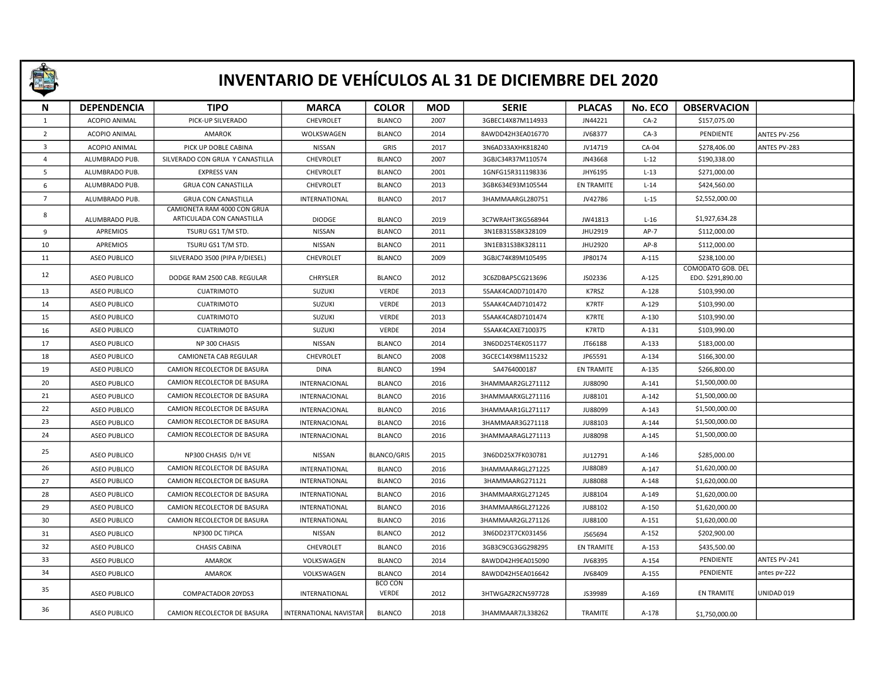

## INVENTARIO DE VEHÍCULOS AL 31 DE DICIEMBRE DEL 2020

| N                       | <b>DEPENDENCIA</b>   | <b>TIPO</b>                                              | <b>MARCA</b>           | <b>COLOR</b>                   | <b>MOD</b> | <b>SERIE</b>      | <b>PLACAS</b>     | No. ECO | <b>OBSERVACION</b> |              |
|-------------------------|----------------------|----------------------------------------------------------|------------------------|--------------------------------|------------|-------------------|-------------------|---------|--------------------|--------------|
| 1                       | <b>ACOPIO ANIMAL</b> | PICK-UP SILVERADO                                        | CHEVROLET              | <b>BLANCO</b>                  | 2007       | 3GBEC14X87M114933 | JN44221           | $CA-2$  | \$157,075.00       |              |
| $\overline{2}$          | ACOPIO ANIMAL        | <b>AMAROK</b>                                            | WOLKSWAGEN             | <b>BLANCO</b>                  | 2014       | 8AWDD42H3EA016770 | JV68377           | $CA-3$  | PENDIENTE          | ANTES PV-256 |
| $\overline{\mathbf{3}}$ | ACOPIO ANIMAL        | PICK UP DOBLE CABINA                                     | NISSAN                 | GRIS                           | 2017       | 3N6AD33AXHK818240 | JV14719           | CA-04   | \$278,406.00       | ANTES PV-283 |
| $\overline{4}$          | ALUMBRADO PUB.       | SILVERADO CON GRUA Y CANASTILLA                          | CHEVROLET              | <b>BLANCO</b>                  | 2007       | 3GBJC34R37M110574 | JN43668           | $L-12$  | \$190,338.00       |              |
| 5                       | ALUMBRADO PUB.       | <b>EXPRESS VAN</b>                                       | CHEVROLET              | <b>BLANCO</b>                  | 2001       | 1GNFG15R311198336 | JHY6195           | $L-13$  | \$271,000.00       |              |
| 6                       | ALUMBRADO PUB.       | <b>GRUA CON CANASTILLA</b>                               | CHEVROLET              | <b>BLANCO</b>                  | 2013       | 3GBK634E93M105544 | EN TRAMITE        | $L-14$  | \$424,560.00       |              |
| $7^{\circ}$             | ALUMBRADO PUB.       | <b>GRUA CON CANASTILLA</b>                               | INTERNATIONAL          | <b>BLANCO</b>                  | 2017       | 3HAMMAARGL280751  | JV42786           | $L-15$  | \$2,552,000.00     |              |
| 8                       | ALUMBRADO PUB.       | CAMIONETA RAM 4000 CON GRUA<br>ARTICULADA CON CANASTILLA | <b>DIODGE</b>          | <b>BLANCO</b>                  | 2019       | 3C7WRAHT3KG568944 | JW41813           | $L-16$  | \$1,927,634.28     |              |
| 9                       | <b>APREMIOS</b>      | TSURU GS1 T/M STD.                                       | NISSAN                 | <b>BLANCO</b>                  | 2011       | 3N1EB31S5BK328109 | JHU2919           | $AP-7$  | \$112,000.00       |              |
| 10                      | APREMIOS             | TSURU GS1 T/M STD.                                       | NISSAN                 | <b>BLANCO</b>                  | 2011       | 3N1EB31S3BK328111 | JHU2920           | $AP-8$  | \$112,000.00       |              |
| 11                      | <b>ASEO PUBLICO</b>  | SILVERADO 3500 (PIPA P/DIESEL)                           | CHEVROLET              | <b>BLANCO</b>                  | 2009       | 3GBJC74K89M105495 | JP80174           | A-115   | \$238,100.00       |              |
| 12                      |                      |                                                          |                        |                                |            |                   |                   |         | COMODATO GOB. DEL  |              |
|                         | <b>ASEO PUBLICO</b>  | DODGE RAM 2500 CAB. REGULAR                              | <b>CHRYSLER</b>        | <b>BLANCO</b>                  | 2012       | 3C6ZDBAP5CG213696 | JS02336           | A-125   | EDO. \$291,890.00  |              |
| 13                      | <b>ASEO PUBLICO</b>  | <b>CUATRIMOTO</b>                                        | SUZUKI                 | <b>VERDE</b>                   | 2013       | 5SAAK4CA0D7101470 | K7RSZ             | A-128   | \$103,990.00       |              |
| 14                      | ASEO PUBLICO         | <b>CUATRIMOTO</b>                                        | SUZUKI                 | VERDE                          | 2013       | 5SAAK4CA4D7101472 | K7RTF             | A-129   | \$103,990.00       |              |
| 15                      | <b>ASEO PUBLICO</b>  | <b>CUATRIMOTO</b>                                        | SUZUKI                 | <b>VERDE</b>                   | 2013       | 5SAAK4CA8D7101474 | K7RTE             | A-130   | \$103,990.00       |              |
| 16                      | <b>ASEO PUBLICO</b>  | <b>CUATRIMOTO</b>                                        | SUZUKI                 | <b>VERDE</b>                   | 2014       | 5SAAK4CAXE7100375 | K7RTD             | A-131   | \$103,990.00       |              |
| 17                      | <b>ASEO PUBLICO</b>  | NP 300 CHASIS                                            | NISSAN                 | <b>BLANCO</b>                  | 2014       | 3N6DD25T4EK051177 | JT66188           | $A-133$ | \$183,000.00       |              |
| 18                      | <b>ASEO PUBLICO</b>  | CAMIONETA CAB REGULAR                                    | CHEVROLET              | <b>BLANCO</b>                  | 2008       | 3GCEC14X98M115232 | JP65591           | $A-134$ | \$166,300.00       |              |
| 19                      | ASEO PUBLICO         | CAMION RECOLECTOR DE BASURA                              | <b>DINA</b>            | <b>BLANCO</b>                  | 1994       | SA4764000187      | EN TRAMITE        | A-135   | \$266,800.00       |              |
| 20                      | <b>ASEO PUBLICO</b>  | CAMION RECOLECTOR DE BASURA                              | INTERNACIONAL          | <b>BLANCO</b>                  | 2016       | 3HAMMAAR2GL271112 | <b>JU88090</b>    | A-141   | \$1,500,000.00     |              |
| 21                      | <b>ASEO PUBLICO</b>  | CAMION RECOLECTOR DE BASURA                              | INTERNACIONAL          | <b>BLANCO</b>                  | 2016       | 3HAMMAARXGL271116 | JU88101           | A-142   | \$1,500,000.00     |              |
| 22                      | <b>ASEO PUBLICO</b>  | CAMION RECOLECTOR DE BASURA                              | INTERNACIONAL          | <b>BLANCO</b>                  | 2016       | 3HAMMAAR1GL271117 | <b>JU88099</b>    | $A-143$ | \$1,500,000.00     |              |
| 23                      | <b>ASEO PUBLICO</b>  | CAMION RECOLECTOR DE BASURA                              | INTERNACIONAL          | <b>BLANCO</b>                  | 2016       | 3HAMMAAR3G271118  | JU88103           | A-144   | \$1,500,000.00     |              |
| 24                      | <b>ASEO PUBLICO</b>  | CAMION RECOLECTOR DE BASURA                              | INTERNACIONAL          | <b>BLANCO</b>                  | 2016       | 3HAMMAARAGL271113 | <b>JU88098</b>    | $A-145$ | \$1,500,000.00     |              |
| 25                      | <b>ASEO PUBLICO</b>  | NP300 CHASIS D/H VE                                      | <b>NISSAN</b>          | <b>BLANCO/GRIS</b>             | 2015       | 3N6DD25X7FK030781 | JU12791           | A-146   | \$285,000.00       |              |
| 26                      | <b>ASEO PUBLICO</b>  | CAMION RECOLECTOR DE BASURA                              | INTERNATIONAL          | <b>BLANCO</b>                  | 2016       | 3HAMMAAR4GL271225 | <b>JU88089</b>    | A-147   | \$1,620,000.00     |              |
| 27                      | <b>ASEO PUBLICO</b>  | CAMION RECOLECTOR DE BASURA                              | INTERNATIONAL          | <b>BLANCO</b>                  | 2016       | 3HAMMAARG271121   | <b>JU88088</b>    | A-148   | \$1,620,000.00     |              |
| 28                      | <b>ASEO PUBLICO</b>  | CAMION RECOLECTOR DE BASURA                              | INTERNATIONAL          | <b>BLANCO</b>                  | 2016       | 3HAMMAARXGL271245 | JU88104           | A-149   | \$1,620,000.00     |              |
| 29                      | <b>ASEO PUBLICO</b>  | CAMION RECOLECTOR DE BASURA                              | INTERNATIONAL          | <b>BLANCO</b>                  | 2016       | 3HAMMAAR6GL271226 | <b>JU88102</b>    | A-150   | \$1,620,000.00     |              |
| 30                      | <b>ASEO PUBLICO</b>  | CAMION RECOLECTOR DE BASURA                              | INTERNATIONAL          | <b>BLANCO</b>                  | 2016       | 3HAMMAAR2GL271126 | <b>JU88100</b>    | A-151   | \$1,620,000.00     |              |
| 31                      | <b>ASEO PUBLICO</b>  | NP300 DC TIPICA                                          | NISSAN                 | <b>BLANCO</b>                  | 2012       | 3N6DD23T7CK031456 | JS65694           | A-152   | \$202,900.00       |              |
| 32                      | ASEO PUBLICO         | <b>CHASIS CABINA</b>                                     | CHEVROLET              | <b>BLANCO</b>                  | 2016       | 3GB3C9CG3GG298295 | <b>EN TRAMITE</b> | $A-153$ | \$435,500.00       |              |
| 33                      | <b>ASEO PUBLICO</b>  | AMAROK                                                   | VOLKSWAGEN             | <b>BLANCO</b>                  | 2014       | 8AWDD42H9EA015090 | JV68395           | A-154   | PENDIENTE          | ANTES PV-241 |
| 34                      | ASEO PUBLICO         | AMAROK                                                   | VOLKSWAGEN             | <b>BLANCO</b>                  | 2014       | 8AWDD42H5EA016642 | JV68409           | A-155   | PENDIENTE          | antes pv-222 |
| 35                      | <b>ASEO PUBLICO</b>  | COMPACTADOR 20YDS3                                       | INTERNATIONAL          | <b>BCO CON</b><br><b>VERDE</b> | 2012       | 3HTWGAZR2CN597728 | JS39989           | A-169   | <b>EN TRAMITE</b>  | UNIDAD 019   |
| 36                      | <b>ASEO PUBLICO</b>  | CAMION RECOLECTOR DE BASURA                              | INTERNATIONAL NAVISTAR | <b>BLANCO</b>                  | 2018       | 3HAMMAAR7JL338262 | TRAMITE           | A-178   | \$1,750,000.00     |              |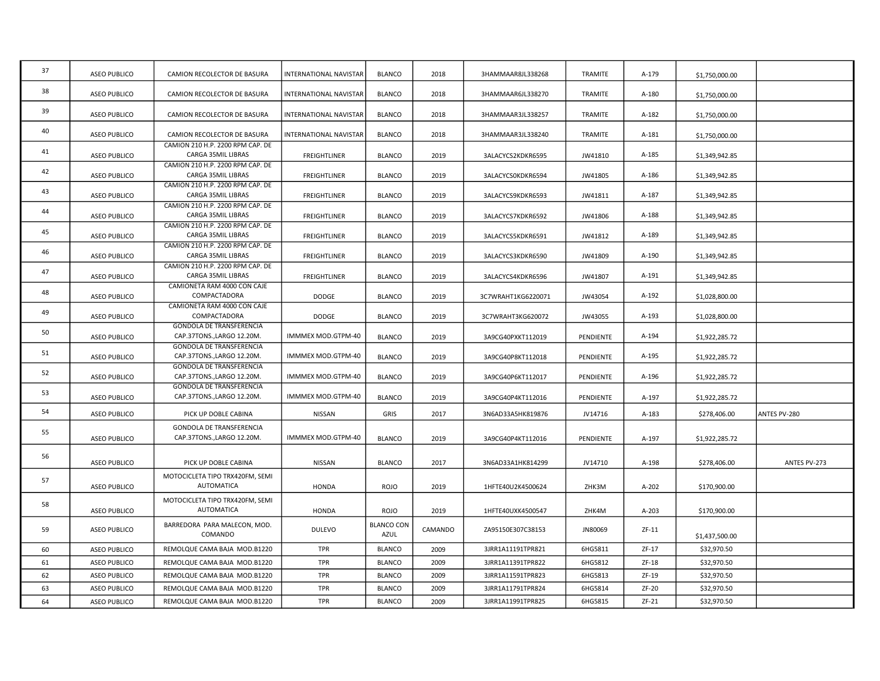| 37 | <b>ASEO PUBLICO</b> | CAMION RECOLECTOR DE BASURA                                   | INTERNATIONAL NAVISTAR        | <b>BLANCO</b>                    | 2018    | 3HAMMAAR8JL338268  | TRAMITE   | A-179   | \$1,750,000.00 |              |
|----|---------------------|---------------------------------------------------------------|-------------------------------|----------------------------------|---------|--------------------|-----------|---------|----------------|--------------|
| 38 | <b>ASEO PUBLICO</b> | CAMION RECOLECTOR DE BASURA                                   | INTERNATIONAL NAVISTAR        | <b>BLANCO</b>                    | 2018    | 3HAMMAAR6JL338270  | TRAMITE   | A-180   | \$1,750,000.00 |              |
| 39 | <b>ASEO PUBLICO</b> | CAMION RECOLECTOR DE BASURA                                   | <b>INTERNATIONAL NAVISTAR</b> | <b>BLANCO</b>                    | 2018    | 3HAMMAAR3JL338257  | TRAMITE   | A-182   | \$1,750,000.00 |              |
| 40 | <b>ASEO PUBLICO</b> | CAMION RECOLECTOR DE BASURA                                   | INTERNATIONAL NAVISTAR        | <b>BLANCO</b>                    | 2018    | 3HAMMAAR3JL338240  | TRAMITE   | A-181   | \$1,750,000.00 |              |
| 41 | <b>ASEO PUBLICO</b> | CAMION 210 H.P. 2200 RPM CAP. DE<br>CARGA 35MIL LIBRAS        | <b>FREIGHTLINER</b>           | <b>BLANCO</b>                    | 2019    | 3ALACYCS2KDKR6595  | JW41810   | A-185   | \$1,349,942.85 |              |
| 42 | <b>ASEO PUBLICO</b> | CAMION 210 H.P. 2200 RPM CAP. DE<br>CARGA 35MIL LIBRAS        | <b>FREIGHTLINER</b>           | <b>BLANCO</b>                    | 2019    | 3ALACYCSOKDKR6594  | JW41805   | A-186   | \$1,349,942.85 |              |
| 43 | <b>ASEO PUBLICO</b> | CAMION 210 H.P. 2200 RPM CAP. DE<br>CARGA 35MIL LIBRAS        | <b>FREIGHTLINER</b>           | <b>BLANCO</b>                    | 2019    | 3ALACYCS9KDKR6593  | JW41811   | A-187   | \$1,349,942.85 |              |
| 44 | <b>ASEO PUBLICO</b> | CAMION 210 H.P. 2200 RPM CAP. DE<br>CARGA 35MIL LIBRAS        | <b>FREIGHTLINER</b>           | <b>BLANCO</b>                    | 2019    | 3ALACYCS7KDKR6592  | JW41806   | A-188   | \$1,349,942.85 |              |
| 45 | ASEO PUBLICO        | CAMION 210 H.P. 2200 RPM CAP. DE<br>CARGA 35MIL LIBRAS        | <b>FREIGHTLINER</b>           | <b>BLANCO</b>                    | 2019    | 3ALACYCS5KDKR6591  | JW41812   | A-189   | \$1,349,942.85 |              |
| 46 | <b>ASEO PUBLICO</b> | CAMION 210 H.P. 2200 RPM CAP. DE<br>CARGA 35MIL LIBRAS        | <b>FREIGHTLINER</b>           | <b>BLANCO</b>                    | 2019    | 3ALACYCS3KDKR6590  | JW41809   | A-190   | \$1,349,942.85 |              |
| 47 | <b>ASEO PUBLICO</b> | CAMION 210 H.P. 2200 RPM CAP. DE<br>CARGA 35MIL LIBRAS        | <b>FREIGHTLINER</b>           | <b>BLANCO</b>                    | 2019    | 3ALACYCS4KDKR6596  | JW41807   | A-191   | \$1,349,942.85 |              |
| 48 | <b>ASEO PUBLICO</b> | CAMIONETA RAM 4000 CON CAJE<br>COMPACTADORA                   | <b>DODGE</b>                  | <b>BLANCO</b>                    | 2019    | 3C7WRAHT1KG6220071 | JW43054   | A-192   | \$1,028,800.00 |              |
| 49 | <b>ASEO PUBLICO</b> | CAMIONETA RAM 4000 CON CAJE<br>COMPACTADORA                   | DODGE                         | <b>BLANCO</b>                    | 2019    | 3C7WRAHT3KG620072  | JW43055   | A-193   | \$1,028,800.00 |              |
| 50 | ASEO PUBLICO        | <b>GONDOLA DE TRANSFERENCIA</b><br>CAP.37TONS., LARGO 12.20M. | IMMMEX MOD.GTPM-40            | <b>BLANCO</b>                    | 2019    | 3A9CG40PXKT112019  | PENDIENTE | A-194   | \$1,922,285.72 |              |
| 51 | <b>ASEO PUBLICO</b> | <b>GONDOLA DE TRANSFERENCIA</b><br>CAP.37TONS., LARGO 12.20M. | IMMMEX MOD.GTPM-40            | <b>BLANCO</b>                    | 2019    | 3A9CG40P8KT112018  | PENDIENTE | A-195   | \$1,922,285.72 |              |
| 52 | <b>ASEO PUBLICO</b> | <b>GONDOLA DE TRANSFERENCIA</b><br>CAP.37TONS., LARGO 12.20M. | IMMMEX MOD.GTPM-40            | <b>BLANCO</b>                    | 2019    | 3A9CG40P6KT112017  | PENDIENTE | A-196   | \$1,922,285.72 |              |
| 53 | <b>ASEO PUBLICO</b> | GONDOLA DE TRANSFERENCIA<br>CAP.37TONS., LARGO 12.20M.        | IMMMEX MOD.GTPM-40            | <b>BLANCO</b>                    | 2019    | 3A9CG40P4KT112016  | PENDIENTE | A-197   | \$1,922,285.72 |              |
| 54 | <b>ASEO PUBLICO</b> | PICK UP DOBLE CABINA                                          | NISSAN                        | <b>GRIS</b>                      | 2017    | 3N6AD33A5HK819876  | JV14716   | A-183   | \$278,406.00   | ANTES PV-280 |
| 55 | <b>ASEO PUBLICO</b> | <b>GONDOLA DE TRANSFERENCIA</b><br>CAP.37TONS., LARGO 12.20M. | IMMMEX MOD.GTPM-40            | <b>BLANCO</b>                    | 2019    | 3A9CG40P4KT112016  | PENDIENTE | A-197   | \$1,922,285.72 |              |
| 56 | <b>ASEO PUBLICO</b> | PICK UP DOBLE CABINA                                          | <b>NISSAN</b>                 | <b>BLANCO</b>                    | 2017    | 3N6AD33A1HK814299  | JV14710   | A-198   | \$278,406.00   | ANTES PV-273 |
| 57 | <b>ASEO PUBLICO</b> | MOTOCICLETA TIPO TRX420FM, SEMI<br><b>AUTOMATICA</b>          | HONDA                         | <b>ROJO</b>                      | 2019    | 1HFTE40U2K4500624  | ZHK3M     | A-202   | \$170,900.00   |              |
| 58 |                     | MOTOCICLETA TIPO TRX420FM, SEMI                               |                               |                                  |         |                    |           |         |                |              |
|    | <b>ASEO PUBLICO</b> | AUTOMATICA<br>BARREDORA PARA MALECON, MOD.                    | <b>HONDA</b>                  | <b>ROJO</b><br><b>BLANCO CON</b> | 2019    | 1HFTE40UXK4500547  | ZHK4M     | $A-203$ | \$170,900.00   |              |
| 59 | <b>ASEO PUBLICO</b> | COMANDO                                                       | <b>DULEVO</b>                 | AZUL                             | CAMANDO | ZA95150E307C38153  | JN80069   | $ZF-11$ | \$1,437,500.00 |              |
| 60 | <b>ASEO PUBLICO</b> | REMOLQUE CAMA BAJA MOD.B1220                                  | TPR                           | <b>BLANCO</b>                    | 2009    | 3JRR1A11191TPR821  | 6HG5811   | $ZF-17$ | \$32,970.50    |              |
| 61 | <b>ASEO PUBLICO</b> | REMOLQUE CAMA BAJA MOD.B1220                                  | TPR                           | <b>BLANCO</b>                    | 2009    | 3JRR1A11391TPR822  | 6HG5812   | ZF-18   | \$32,970.50    |              |
| 62 | <b>ASEO PUBLICO</b> | REMOLQUE CAMA BAJA MOD.B1220                                  | TPR                           | <b>BLANCO</b>                    | 2009    | 3JRR1A11591TPR823  | 6HG5813   | ZF-19   | \$32,970.50    |              |
| 63 | <b>ASEO PUBLICO</b> | REMOLQUE CAMA BAJA MOD.B1220                                  | <b>TPR</b>                    | <b>BLANCO</b>                    | 2009    | 3JRR1A11791TPR824  | 6HG5814   | $ZF-20$ | \$32,970.50    |              |
| 64 | <b>ASEO PUBLICO</b> | REMOLQUE CAMA BAJA MOD.B1220                                  | TPR                           | <b>BLANCO</b>                    | 2009    | 3JRR1A11991TPR825  | 6HG5815   | $ZF-21$ | \$32,970.50    |              |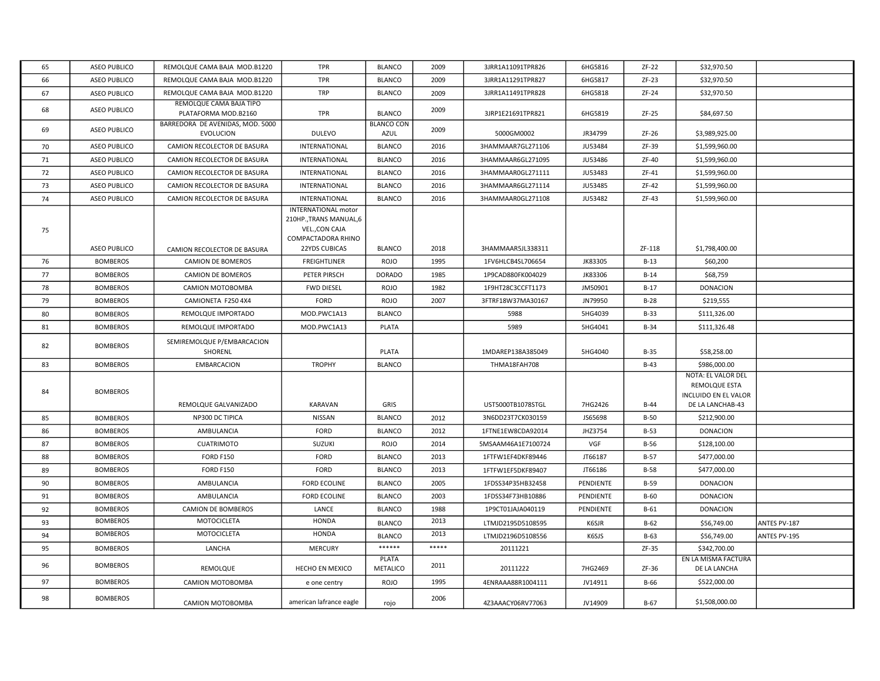| 65 | <b>ASEO PUBLICO</b> | REMOLQUE CAMA BAJA MOD.B1220                         | <b>TPR</b>                                                                                                            | <b>BLANCO</b>             | 2009  | 3JRR1A11091TPR826  | 6HG5816        | ZF-22       | \$32,970.50                                                                     |              |
|----|---------------------|------------------------------------------------------|-----------------------------------------------------------------------------------------------------------------------|---------------------------|-------|--------------------|----------------|-------------|---------------------------------------------------------------------------------|--------------|
| 66 | <b>ASEO PUBLICO</b> | REMOLQUE CAMA BAJA MOD.B1220                         | <b>TPR</b>                                                                                                            | <b>BLANCO</b>             | 2009  | 3JRR1A11291TPR827  | 6HG5817        | $ZF-23$     | \$32,970.50                                                                     |              |
| 67 | ASEO PUBLICO        | REMOLQUE CAMA BAJA MOD.B1220                         | <b>TRP</b>                                                                                                            | <b>BLANCO</b>             | 2009  | 3JRR1A11491TPR828  | 6HG5818        | ZF-24       | \$32,970.50                                                                     |              |
| 68 | <b>ASEO PUBLICO</b> | REMOLQUE CAMA BAJA TIPO<br>PLATAFORMA MOD.B2160      | <b>TPR</b>                                                                                                            | <b>BLANCO</b>             | 2009  | 3JRP1E21691TPR821  | 6HG5819        | $ZF-25$     | \$84,697.50                                                                     |              |
| 69 | <b>ASEO PUBLICO</b> | BARREDORA DE AVENIDAS, MOD. 5000<br><b>EVOLUCION</b> | <b>DULEVO</b>                                                                                                         | <b>BLANCO CON</b><br>AZUL | 2009  | 5000GM0002         | JR34799        | $ZF-26$     | \$3,989,925.00                                                                  |              |
| 70 | <b>ASEO PUBLICO</b> | CAMION RECOLECTOR DE BASURA                          | INTERNATIONAL                                                                                                         | <b>BLANCO</b>             | 2016  | 3HAMMAAR7GL271106  | JU53484        | ZF-39       | \$1,599,960.00                                                                  |              |
| 71 | <b>ASEO PUBLICO</b> | CAMION RECOLECTOR DE BASURA                          | INTERNATIONAL                                                                                                         | <b>BLANCO</b>             | 2016  | 3HAMMAAR6GL271095  | JU53486        | ZF-40       | \$1,599,960.00                                                                  |              |
| 72 | ASEO PUBLICO        | CAMION RECOLECTOR DE BASURA                          | INTERNATIONAL                                                                                                         | <b>BLANCO</b>             | 2016  | 3HAMMAAR0GL271111  | <b>JU53483</b> | $ZF-41$     | \$1,599,960.00                                                                  |              |
| 73 | <b>ASEO PUBLICO</b> | CAMION RECOLECTOR DE BASURA                          | INTERNATIONAL                                                                                                         | <b>BLANCO</b>             | 2016  | 3HAMMAAR6GL271114  | JU53485        | ZF-42       | \$1,599,960.00                                                                  |              |
| 74 | <b>ASEO PUBLICO</b> | CAMION RECOLECTOR DE BASURA                          | INTERNATIONAL                                                                                                         | <b>BLANCO</b>             | 2016  | 3HAMMAAR0GL271108  | JU53482        | $ZF-43$     | \$1,599,960.00                                                                  |              |
| 75 | <b>ASEO PUBLICO</b> | CAMION RECOLECTOR DE BASURA                          | <b>INTERNATIONAL motor</b><br>210HP., TRANS MANUAL, 6<br>VEL., CON CAJA<br>COMPACTADORA RHINO<br><b>22YDS CUBICAS</b> | <b>BLANCO</b>             | 2018  | 3HAMMAAR5JL338311  |                | ZF-118      | \$1,798,400.00                                                                  |              |
| 76 | <b>BOMBEROS</b>     | <b>CAMION DE BOMEROS</b>                             | <b>FREIGHTLINER</b>                                                                                                   | <b>ROJO</b>               | 1995  | 1FV6HLCB4SL706654  | JK83305        | $B-13$      | \$60,200                                                                        |              |
| 77 | <b>BOMBEROS</b>     | <b>CAMION DE BOMEROS</b>                             | PETER PIRSCH                                                                                                          | <b>DORADO</b>             | 1985  | 1P9CAD880FK004029  | JK83306        | $B-14$      | \$68,759                                                                        |              |
| 78 | <b>BOMBEROS</b>     | CAMION MOTOBOMBA                                     | <b>FWD DIESEL</b>                                                                                                     | ROJO                      | 1982  | 1F9HT28C3CCFT1173  | JM50901        | B-17        | <b>DONACION</b>                                                                 |              |
| 79 | <b>BOMBEROS</b>     | CAMIONETA F250 4X4                                   | <b>FORD</b>                                                                                                           | <b>ROJO</b>               | 2007  | 3FTRF18W37MA30167  | JN79950        | $B-28$      | \$219,555                                                                       |              |
| 80 | <b>BOMBEROS</b>     | REMOLQUE IMPORTADO                                   | MOD.PWC1A13                                                                                                           | <b>BLANCO</b>             |       | 5988               | 5HG4039        | $B-33$      | \$111,326.00                                                                    |              |
| 81 | <b>BOMBEROS</b>     | REMOLQUE IMPORTADO                                   | MOD.PWC1A13                                                                                                           | PLATA                     |       | 5989               | 5HG4041        | $B-34$      | \$111,326.48                                                                    |              |
| 82 | <b>BOMBEROS</b>     | SEMIREMOLQUE P/EMBARCACION<br>SHORENL                |                                                                                                                       | PLATA                     |       | 1MDAREP138A385049  | 5HG4040        | $B-35$      | \$58,258.00                                                                     |              |
| 83 | <b>BOMBEROS</b>     | <b>EMBARCACION</b>                                   | <b>TROPHY</b>                                                                                                         | <b>BLANCO</b>             |       | THMA18FAH708       |                | $B-43$      | \$986,000.00                                                                    |              |
| 84 | <b>BOMBEROS</b>     | REMOLQUE GALVANIZADO                                 | KARAVAN                                                                                                               | GRIS                      |       | UST5000TB1078STGL  | 7HG2426        | $B-44$      | NOTA: EL VALOR DEL<br>REMOLQUE ESTA<br>INCLUIDO EN EL VALOR<br>DE LA LANCHAB-43 |              |
| 85 | <b>BOMBEROS</b>     | NP300 DC TIPICA                                      | NISSAN                                                                                                                | <b>BLANCO</b>             | 2012  | 3N6DD23T7CK030159  | JS65698        | $B-50$      | \$212,900.00                                                                    |              |
| 86 | <b>BOMBEROS</b>     | AMBULANCIA                                           | FORD                                                                                                                  | <b>BLANCO</b>             | 2012  | 1FTNE1EW8CDA92014  | JHZ3754        | $B-53$      | <b>DONACION</b>                                                                 |              |
| 87 | <b>BOMBEROS</b>     | <b>CUATRIMOTO</b>                                    | SUZUKI                                                                                                                | <b>ROJO</b>               | 2014  | 5MSAAM46A1E7100724 | VGF            | $B-56$      | \$128,100.00                                                                    |              |
| 88 | <b>BOMBEROS</b>     | <b>FORD F150</b>                                     | FORD                                                                                                                  | <b>BLANCO</b>             | 2013  | 1FTFW1EF4DKF89446  | JT66187        | <b>B-57</b> | \$477,000.00                                                                    |              |
| 89 | <b>BOMBEROS</b>     | <b>FORD F150</b>                                     | FORD                                                                                                                  | <b>BLANCO</b>             | 2013  | 1FTFW1EF5DKF89407  | JT66186        | <b>B-58</b> | \$477,000.00                                                                    |              |
| 90 | <b>BOMBEROS</b>     | AMBULANCIA                                           | <b>FORD ECOLINE</b>                                                                                                   | <b>BLANCO</b>             | 2005  | 1FDSS34P35HB32458  | PENDIENTE      | $B-59$      | <b>DONACION</b>                                                                 |              |
| 91 | <b>BOMBEROS</b>     | AMBULANCIA                                           | <b>FORD ECOLINE</b>                                                                                                   | <b>BLANCO</b>             | 2003  | 1FDSS34F73HB10886  | PENDIENTE      | $B-60$      | <b>DONACION</b>                                                                 |              |
| 92 | <b>BOMBEROS</b>     | <b>CAMION DE BOMBEROS</b>                            | LANCE                                                                                                                 | <b>BLANCO</b>             | 1988  | 1P9CT01JAJA040119  | PENDIENTE      | $B-61$      | <b>DONACION</b>                                                                 |              |
| 93 | <b>BOMBEROS</b>     | MOTOCICLETA                                          | <b>HONDA</b>                                                                                                          | <b>BLANCO</b>             | 2013  | LTMJD2195D5108595  | K6SJR          | $B-62$      | \$56,749.00                                                                     | ANTES PV-187 |
| 94 | <b>BOMBEROS</b>     | MOTOCICLETA                                          | <b>HONDA</b>                                                                                                          | <b>BLANCO</b>             | 2013  | LTMJD2196D5108556  | K6SJS          | B-63        | \$56,749.00                                                                     | ANTES PV-195 |
| 95 | <b>BOMBEROS</b>     | LANCHA                                               | <b>MERCURY</b>                                                                                                        | $******$                  | ***** | 20111221           |                | ZF-35       | \$342,700.00                                                                    |              |
| 96 | <b>BOMBEROS</b>     | REMOLQUE                                             | <b>HECHO EN MEXICO</b>                                                                                                | PLATA<br>METALICO         | 2011  | 20111222           | 7HG2469        | $ZF-36$     | EN LA MISMA FACTURA<br>DE LA LANCHA                                             |              |
| 97 | <b>BOMBEROS</b>     | CAMION MOTOBOMBA                                     | e one centry                                                                                                          | <b>ROJO</b>               | 1995  | 4ENRAAA88R1004111  | JV14911        | B-66        | \$522,000.00                                                                    |              |
| 98 | <b>BOMBEROS</b>     | CAMION MOTOBOMBA                                     | american lafrance eagle                                                                                               | rojo                      | 2006  | 4Z3AAACY06RV77063  | JV14909        | $B-67$      | \$1,508,000.00                                                                  |              |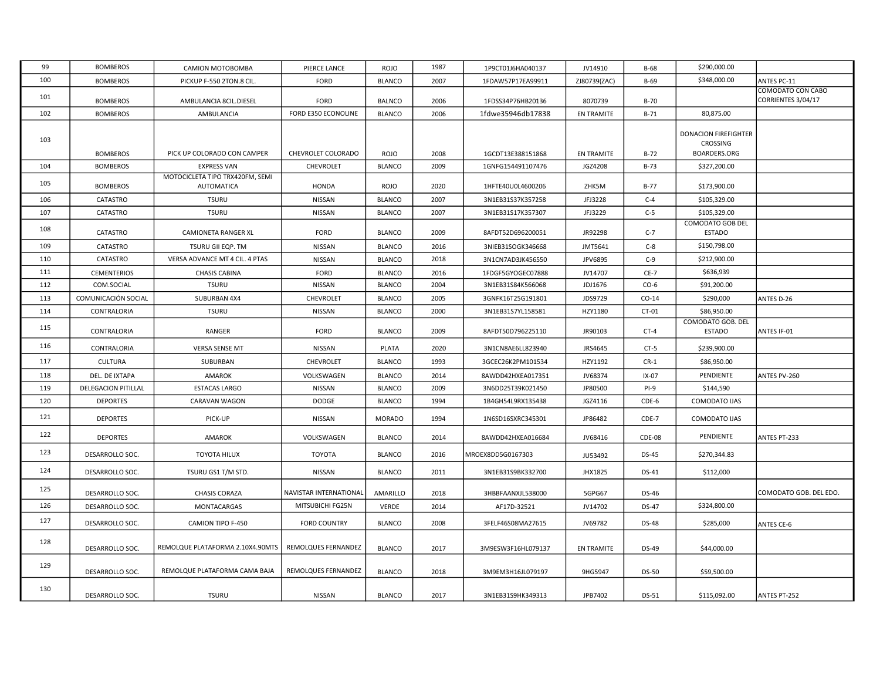| 99  | <b>BOMBEROS</b>     | CAMION MOTOBOMBA                              | PIERCE LANCE           | <b>ROJO</b>   | 1987 | 1P9CT01J6HA040137  | JV14910           | B-68         | \$290,000.00                                            |                                         |
|-----|---------------------|-----------------------------------------------|------------------------|---------------|------|--------------------|-------------------|--------------|---------------------------------------------------------|-----------------------------------------|
| 100 | <b>BOMBEROS</b>     | PICKUP F-550 2TON.8 CIL.                      | <b>FORD</b>            | <b>BLANCO</b> | 2007 | 1FDAW57P17EA99911  | ZJ80739(ZAC)      | B-69         | \$348,000.00                                            | <b>ANTES PC-11</b>                      |
| 101 | <b>BOMBEROS</b>     | AMBULANCIA 8CIL.DIESEL                        | <b>FORD</b>            | <b>BALNCO</b> | 2006 | 1FDSS34P76HB20136  | 8070739           | B-70         |                                                         | COMODATO CON CABO<br>CORRIENTES 3/04/17 |
| 102 | <b>BOMBEROS</b>     | AMBULANCIA                                    | FORD E350 ECONOLINE    | <b>BLANCO</b> | 2006 | 1fdwe35946db17838  | <b>EN TRAMITE</b> | $B-71$       | 80,875.00                                               |                                         |
| 103 | <b>BOMBEROS</b>     | PICK UP COLORADO CON CAMPER                   | CHEVROLET COLORADO     | <b>ROJO</b>   | 2008 | 1GCDT13E388151868  | <b>EN TRAMITE</b> | $B-72$       | <b>DONACION FIREFIGHTER</b><br>CROSSING<br>BOARDERS.ORG |                                         |
| 104 | <b>BOMBEROS</b>     | <b>EXPRESS VAN</b>                            | CHEVROLET              | <b>BLANCO</b> | 2009 | 1GNFG154491107476  | JGZ4208           | B-73         | \$327,200.00                                            |                                         |
| 105 | <b>BOMBEROS</b>     | MOTOCICLETA TIPO TRX420FM, SEMI<br>AUTOMATICA | <b>HONDA</b>           | <b>ROJO</b>   | 2020 | 1HFTE40U0L4600206  | ZHK5M             | B-77         | \$173,900.00                                            |                                         |
| 106 | CATASTRO            | <b>TSURU</b>                                  | NISSAN                 | <b>BLANCO</b> | 2007 | 3N1EB31S37K357258  | JFJ3228           | $C-4$        | \$105,329.00                                            |                                         |
| 107 | CATASTRO            | <b>TSURU</b>                                  | NISSAN                 | <b>BLANCO</b> | 2007 | 3N1EB31S17K357307  | JFJ3229           | $C-5$        | \$105,329.00                                            |                                         |
| 108 | CATASTRO            | <b>CAMIONETA RANGER XL</b>                    | FORD                   | <b>BLANCO</b> | 2009 | 8AFDT52D696200051  | JR92298           | $C-7$        | COMODATO GOB DEL<br><b>ESTADO</b>                       |                                         |
| 109 | CATASTRO            | TSURU GII EQP. TM                             | NISSAN                 | <b>BLANCO</b> | 2016 | 3NIEB31SOGK346668  | JMT5641           | $C-8$        | \$150,798.00                                            |                                         |
| 110 | CATASTRO            | VERSA ADVANCE MT 4 CIL. 4 PTAS                | NISSAN                 | <b>BLANCO</b> | 2018 | 3N1CN7AD3JK456550  | JPV6895           | $C-9$        | \$212,900.00                                            |                                         |
| 111 | <b>CEMENTERIOS</b>  | <b>CHASIS CABINA</b>                          | FORD                   | <b>BLANCO</b> | 2016 | 1FDGF5GYOGEC07888  | JV14707           | $CE-7$       | \$636,939                                               |                                         |
| 112 | COM.SOCIAL          | <b>TSURU</b>                                  | NISSAN                 | <b>BLANCO</b> | 2004 | 3N1EB31S84K566068  | JDJ1676           | $CO-6$       | \$91,200.00                                             |                                         |
| 113 | COMUNICACIÓN SOCIAL | SUBURBAN 4X4                                  | CHEVROLET              | <b>BLANCO</b> | 2005 | 3GNFK16T25G191801  | JDS9729           | $CO-14$      | \$290,000                                               | ANTES D-26                              |
| 114 | CONTRALORIA         | <b>TSURU</b>                                  | <b>NISSAN</b>          | <b>BLANCO</b> | 2000 | 3N1EB31S7YL158581  | HZY1180           | CT-01        | \$86,950.00                                             |                                         |
| 115 | CONTRALORIA         | RANGER                                        | <b>FORD</b>            | <b>BLANCO</b> | 2009 | 8AFDT50D796225110  | JR90103           | $CT-4$       | COMODATO GOB. DEL<br><b>ESTADO</b>                      | ANTES IF-01                             |
| 116 | CONTRALORIA         | <b>VERSA SENSE MT</b>                         | NISSAN                 | PLATA         | 2020 | 3N1CN8AE6LL823940  | JRS4645           | $CT-5$       | \$239,900.00                                            |                                         |
| 117 | <b>CULTURA</b>      | SUBURBAN                                      | CHEVROLET              | <b>BLANCO</b> | 1993 | 3GCEC26K2PM101534  | HZY1192           | $CR-1$       | \$86,950.00                                             |                                         |
| 118 | DEL. DE IXTAPA      | AMAROK                                        | VOLKSWAGEN             | <b>BLANCO</b> | 2014 | 8AWDD42HXEA017351  | JV68374           | IX-07        | PENDIENTE                                               | ANTES PV-260                            |
| 119 | DELEGACION PITILLAL | <b>ESTACAS LARGO</b>                          | NISSAN                 | <b>BLANCO</b> | 2009 | 3N6DD25T39K021450  | JP80500           | $PI-9$       | \$144,590                                               |                                         |
| 120 | <b>DEPORTES</b>     | CARAVAN WAGON                                 | DODGE                  | <b>BLANCO</b> | 1994 | 1B4GH54L9RX135438  | JGZ4116           | CDE-6        | COMODATO IJAS                                           |                                         |
| 121 | <b>DEPORTES</b>     | PICK-UP                                       | NISSAN                 | <b>MORADO</b> | 1994 | 1N6SD16SXRC345301  | JP86482           | CDE-7        | COMODATO IJAS                                           |                                         |
| 122 | <b>DEPORTES</b>     | <b>AMAROK</b>                                 | VOLKSWAGEN             | <b>BLANCO</b> | 2014 | 8AWDD42HXEA016684  | JV68416           | CDE-08       | PENDIENTE                                               | ANTES PT-233                            |
| 123 | DESARROLLO SOC.     | TOYOTA HILUX                                  | TOYOTA                 | <b>BLANCO</b> | 2016 | MROEX8DD5G0167303  | JU53492           | <b>DS-45</b> | \$270,344.83                                            |                                         |
| 124 | DESARROLLO SOC.     | TSURU GS1 T/M STD.                            | NISSAN                 | <b>BLANCO</b> | 2011 | 3N1EB31S9BK332700  | JHX1825           | DS-41        | \$112,000                                               |                                         |
| 125 | DESARROLLO SOC.     | <b>CHASIS CORAZA</b>                          | NAVISTAR INTERNATIONAL | AMARILLO      | 2018 | 3HBBFAANXJL538000  | 5GPG67            | DS-46        |                                                         | COMODATO GOB. DEL EDO.                  |
| 126 | DESARROLLO SOC.     | MONTACARGAS                                   | MITSUBICHI FG25N       | <b>VERDE</b>  | 2014 | AF17D-32521        | JV14702           | <b>DS-47</b> | \$324,800.00                                            |                                         |
| 127 | DESARROLLO SOC.     | CAMION TIPO F-450                             | <b>FORD COUNTRY</b>    | <b>BLANCO</b> | 2008 | 3FELF46S08MA27615  | JV69782           | DS-48        | \$285,000                                               | <b>ANTES CE-6</b>                       |
| 128 | DESARROLLO SOC.     | REMOLQUE PLATAFORMA 2.10X4.90MTS              | REMOLQUES FERNANDEZ    | <b>BLANCO</b> | 2017 | 3M9ESW3F16HL079137 | <b>EN TRAMITE</b> | DS-49        | \$44,000.00                                             |                                         |
| 129 | DESARROLLO SOC.     | REMOLQUE PLATAFORMA CAMA BAJA                 | REMOLQUES FERNANDEZ    | <b>BLANCO</b> | 2018 | 3M9EM3H16JL079197  | 9HG5947           | <b>DS-50</b> | \$59,500.00                                             |                                         |
| 130 | DESARROLLO SOC.     | <b>TSURU</b>                                  | NISSAN                 | <b>BLANCO</b> | 2017 | 3N1EB31S9HK349313  | JPB7402           | DS-51        | \$115,092.00                                            | <b>ANTES PT-252</b>                     |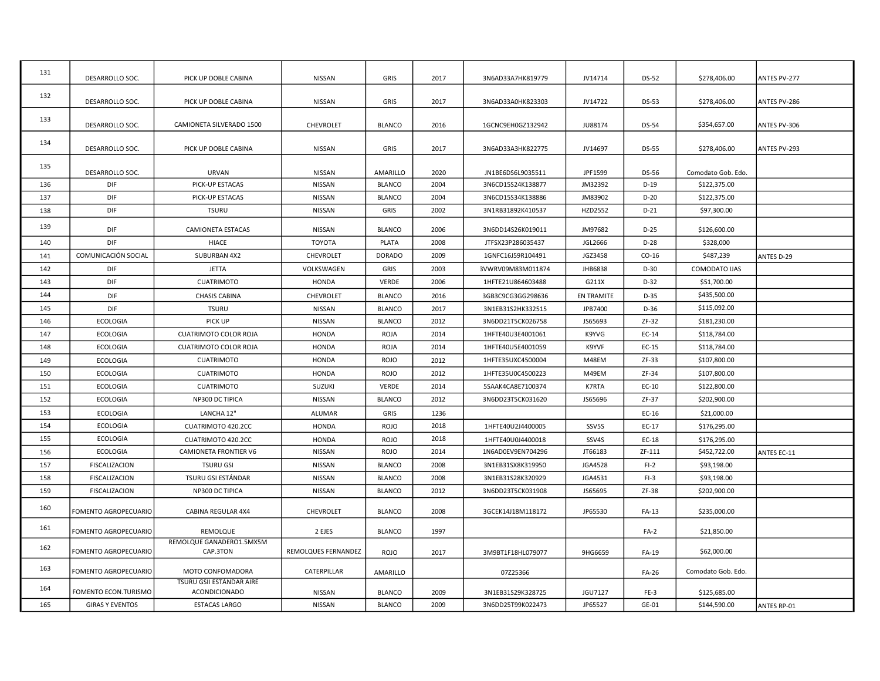| 131 | DESARROLLO SOC.        | PICK UP DOBLE CABINA                             | NISSAN              | GRIS          | 2017 | 3N6AD33A7HK819779 | JV14714           | <b>DS-52</b> | \$278,406.00       | ANTES PV-277       |
|-----|------------------------|--------------------------------------------------|---------------------|---------------|------|-------------------|-------------------|--------------|--------------------|--------------------|
| 132 | DESARROLLO SOC.        | PICK UP DOBLE CABINA                             | NISSAN              | GRIS          | 2017 | 3N6AD33A0HK823303 | JV14722           | <b>DS-53</b> | \$278,406.00       | ANTES PV-286       |
| 133 | DESARROLLO SOC.        | CAMIONETA SILVERADO 1500                         | CHEVROLET           | <b>BLANCO</b> | 2016 | 1GCNC9EH0GZ132942 | JU88174           | DS-54        | \$354,657.00       | ANTES PV-306       |
| 134 | DESARROLLO SOC.        | PICK UP DOBLE CABINA                             | NISSAN              | GRIS          | 2017 | 3N6AD33A3HK822775 | JV14697           | <b>DS-55</b> | \$278,406.00       | ANTES PV-293       |
| 135 | DESARROLLO SOC.        | URVAN                                            | <b>NISSAN</b>       | AMARILLO      | 2020 | JN1BE6DS6L9035511 | JPF1599           | DS-56        | Comodato Gob. Edo. |                    |
| 136 | DIF                    | PICK-UP ESTACAS                                  | <b>NISSAN</b>       | <b>BLANCO</b> | 2004 | 3N6CD15S24K138877 | JM32392           | $D-19$       | \$122,375.00       |                    |
| 137 | DIF                    | PICK-UP ESTACAS                                  | <b>NISSAN</b>       | <b>BLANCO</b> | 2004 | 3N6CD15S34K138886 | JM83902           | $D-20$       | \$122,375.00       |                    |
| 138 | DIF                    | <b>TSURU</b>                                     | <b>NISSAN</b>       | GRIS          | 2002 | 3N1RB31892K410537 | HZD2552           | $D-21$       | \$97,300.00        |                    |
| 139 | DIF                    | <b>CAMIONETA ESTACAS</b>                         | NISSAN              | <b>BLANCO</b> | 2006 | 3N6DD14S26K019011 | JM97682           | $D-25$       | \$126,600.00       |                    |
| 140 | DIF                    | <b>HIACE</b>                                     | <b>TOYOTA</b>       | PLATA         | 2008 | JTFSX23P286035437 | JGL2666           | $D-28$       | \$328,000          |                    |
| 141 | COMUNICACIÓN SOCIAL    | SUBURBAN 4X2                                     | CHEVROLET           | <b>DORADO</b> | 2009 | 1GNFC16J59R104491 | JGZ3458           | $CO-16$      | \$487,239          | ANTES D-29         |
| 142 | DIF                    | <b>JETTA</b>                                     | VOLKSWAGEN          | GRIS          | 2003 | 3VWRV09M83M011874 | JHB6838           | $D-30$       | COMODATO IJAS      |                    |
| 143 | <b>DIF</b>             | <b>CUATRIMOTO</b>                                | <b>HONDA</b>        | <b>VERDE</b>  | 2006 | 1HFTE21U864603488 | G211X             | $D-32$       | \$51,700.00        |                    |
| 144 | <b>DIF</b>             | <b>CHASIS CABINA</b>                             | CHEVROLET           | <b>BLANCO</b> | 2016 | 3GB3C9CG3GG298636 | <b>EN TRAMITE</b> | $D-35$       | \$435,500.00       |                    |
| 145 | <b>DIF</b>             | <b>TSURU</b>                                     | NISSAN              | <b>BLANCO</b> | 2017 | 3N1EB31S2HK332515 | JPB7400           | $D-36$       | \$115,092.00       |                    |
| 146 | <b>ECOLOGIA</b>        | PICK UP                                          | NISSAN              | <b>BLANCO</b> | 2012 | 3N6DD21T5CK026758 | JS65693           | ZF-32        | \$181,230.00       |                    |
| 147 | <b>ECOLOGIA</b>        | <b>CUATRIMOTO COLOR ROJA</b>                     | <b>HONDA</b>        | ROJA          | 2014 | 1HFTE40U3E4001061 | K9YVG             | EC-14        | \$118,784.00       |                    |
| 148 | <b>ECOLOGIA</b>        | <b>CUATRIMOTO COLOR ROJA</b>                     | <b>HONDA</b>        | <b>ROJA</b>   | 2014 | 1HFTE40U5E4001059 | K9YVF             | EC-15        | \$118,784.00       |                    |
| 149 | <b>ECOLOGIA</b>        | <b>CUATRIMOTO</b>                                | HONDA               | <b>ROJO</b>   | 2012 | 1HFTE35UXC4500004 | M48EM             | ZF-33        | \$107,800.00       |                    |
| 150 | <b>ECOLOGIA</b>        | <b>CUATRIMOTO</b>                                | <b>HONDA</b>        | <b>ROJO</b>   | 2012 | 1HFTE35U0C4500223 | M49EM             | ZF-34        | \$107,800.00       |                    |
| 151 | <b>ECOLOGIA</b>        | <b>CUATRIMOTO</b>                                | <b>SUZUKI</b>       | <b>VERDE</b>  | 2014 | 5SAAK4CA8E7100374 | K7RTA             | $EC-10$      | \$122,800.00       |                    |
| 152 | <b>ECOLOGIA</b>        | NP300 DC TIPICA                                  | NISSAN              | <b>BLANCO</b> | 2012 | 3N6DD23T5CK031620 | JS65696           | ZF-37        | \$202,900.00       |                    |
| 153 | <b>ECOLOGIA</b>        | LANCHA 12"                                       | ALUMAR              | GRIS          | 1236 |                   |                   | EC-16        | \$21,000.00        |                    |
| 154 | <b>ECOLOGIA</b>        | CUATRIMOTO 420.2CC                               | <b>HONDA</b>        | <b>ROJO</b>   | 2018 | 1HFTE40U2J4400005 | SSV5S             | $EC-17$      | \$176,295.00       |                    |
| 155 | <b>ECOLOGIA</b>        | CUATRIMOTO 420.2CC                               | <b>HONDA</b>        | <b>ROJO</b>   | 2018 | 1HFTE40U0J4400018 | SSV4S             | EC-18        | \$176.295.00       |                    |
| 156 | <b>ECOLOGIA</b>        | <b>CAMIONETA FRONTIER V6</b>                     | NISSAN              | <b>ROJO</b>   | 2014 | 1N6AD0EV9EN704296 | JT66183           | ZF-111       | \$452,722.00       | <b>ANTES EC-11</b> |
| 157 | FISCALIZACION          | <b>TSURU GSI</b>                                 | NISSAN              | <b>BLANCO</b> | 2008 | 3N1EB31SX8K319950 | <b>JGA4528</b>    | $FI-2$       | \$93,198.00        |                    |
| 158 | FISCALIZACION          | TSURU GSI ESTÁNDAR                               | NISSAN              | <b>BLANCO</b> | 2008 | 3N1EB31S28K320929 | JGA4531           | $FI-3$       | \$93,198.00        |                    |
| 159 | <b>FISCALIZACION</b>   | NP300 DC TIPICA                                  | NISSAN              | <b>BLANCO</b> | 2012 | 3N6DD23T5CK031908 | JS65695           | ZF-38        | \$202,900.00       |                    |
| 160 | FOMENTO AGROPECUARIO   | CABINA REGULAR 4X4                               | CHEVROLET           | <b>BLANCO</b> | 2008 | 3GCEK14J18M118172 | JP65530           | FA-13        | \$235,000.00       |                    |
| 161 | FOMENTO AGROPECUARIO   | REMOLQUE                                         | 2 EJES              | <b>BLANCO</b> | 1997 |                   |                   | $FA-2$       | \$21,850.00        |                    |
| 162 | FOMENTO AGROPECUARIO   | REMOLQUE GANADERO1.5MX5M<br>CAP.3TON             | REMOLQUES FERNANDEZ | <b>ROJO</b>   | 2017 | 3M9BT1F18HL079077 | 9HG6659           | FA-19        | \$62,000.00        |                    |
| 163 | FOMENTO AGROPECUARIO   | MOTO CONFOMADORA                                 | CATERPILLAR         | AMARILLO      |      | 07Z25366          |                   | FA-26        | Comodato Gob. Edo. |                    |
| 164 | FOMENTO ECON.TURISMO   | TSURU GSII ESTÁNDAR AIRE<br><b>ACONDICIONADO</b> | NISSAN              | <b>BLANCO</b> | 2009 | 3N1EB31S29K328725 | JGU7127           | FE-3         | \$125,685.00       |                    |
| 165 | <b>GIRAS Y EVENTOS</b> | <b>ESTACAS LARGO</b>                             | NISSAN              | <b>BLANCO</b> | 2009 | 3N6DD25T99K022473 | JP65527           | GE-01        | \$144,590.00       | ANTES RP-01        |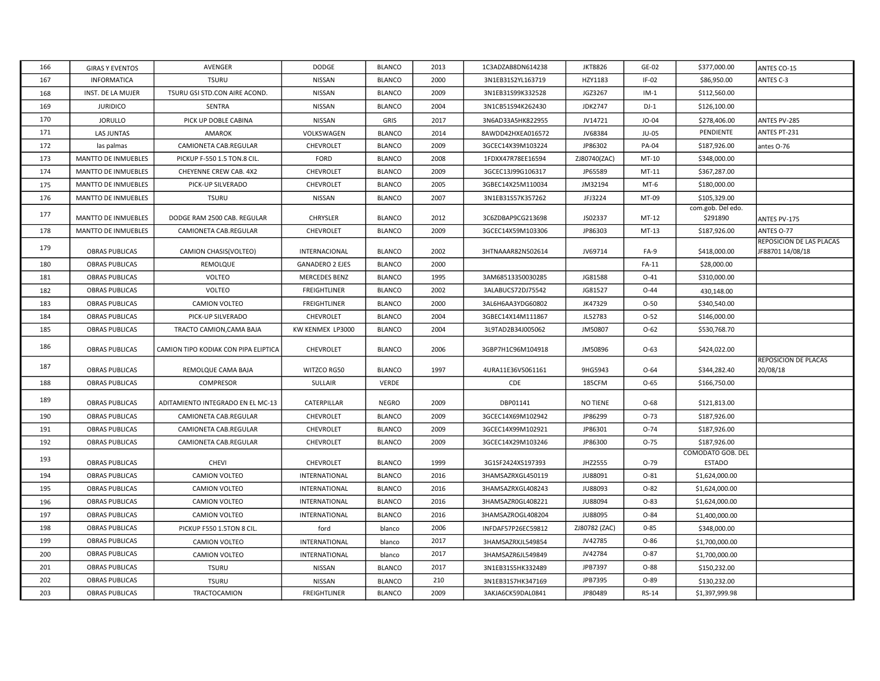| 166 | <b>GIRAS Y EVENTOS</b>     | AVENGER                              | <b>DODGE</b>           | <b>BLANCO</b> | 2013 | 1C3ADZAB8DN614238  | <b>JKT8826</b>  | GE-02        | \$377,000.00                       | ANTES CO-15                                  |
|-----|----------------------------|--------------------------------------|------------------------|---------------|------|--------------------|-----------------|--------------|------------------------------------|----------------------------------------------|
| 167 | <b>INFORMATICA</b>         | <b>TSURU</b>                         | NISSAN                 | <b>BLANCO</b> | 2000 | 3N1EB31S2YL163719  | HZY1183         | $IF-02$      | \$86,950.00                        | ANTES C-3                                    |
| 168 | INST. DE LA MUJER          | TSURU GSI STD.CON AIRE ACOND.        | NISSAN                 | <b>BLANCO</b> | 2009 | 3N1EB31S99K332528  | JGZ3267         | $IM-1$       | \$112,560.00                       |                                              |
| 169 | <b>JURIDICO</b>            | <b>SENTRA</b>                        | NISSAN                 | <b>BLANCO</b> | 2004 | 3N1CB51S94K262430  | <b>JDK2747</b>  | $DJ-1$       | \$126,100.00                       |                                              |
| 170 | <b>JORULLO</b>             | PICK UP DOBLE CABINA                 | <b>NISSAN</b>          | GRIS          | 2017 | 3N6AD33A5HK822955  | JV14721         | $JO-04$      | \$278,406.00                       | ANTES PV-285                                 |
| 171 | <b>LAS JUNTAS</b>          | <b>AMAROK</b>                        | VOLKSWAGEN             | <b>BLANCO</b> | 2014 | 8AWDD42HXEA016572  | JV68384         | <b>JU-05</b> | PENDIENTE                          | ANTES PT-231                                 |
| 172 | las palmas                 | CAMIONETA CAB.REGULAR                | CHEVROLET              | <b>BLANCO</b> | 2009 | 3GCEC14X39M103224  | JP86302         | PA-04        | \$187,926.00                       | antes O-76                                   |
| 173 | <b>MANTTO DE INMUEBLES</b> | PICKUP F-550 1.5 TON.8 CIL.          | <b>FORD</b>            | <b>BLANCO</b> | 2008 | 1FDXX47R78EE16594  | ZJ80740(ZAC)    | MT-10        | \$348,000.00                       |                                              |
| 174 | <b>MANTTO DE INMUEBLES</b> | CHEYENNE CREW CAB. 4X2               | CHEVROLET              | <b>BLANCO</b> | 2009 | 3GCEC13J99G106317  | JP65589         | MT-11        | \$367,287.00                       |                                              |
| 175 | <b>MANTTO DE INMUEBLES</b> | PICK-UP SILVERADO                    | CHEVROLET              | <b>BLANCO</b> | 2005 | 3GBEC14X25M110034  | JM32194         | $MT-6$       | \$180,000.00                       |                                              |
| 176 | MANTTO DE INMUEBLES        | <b>TSURU</b>                         | NISSAN                 | <b>BLANCO</b> | 2007 | 3N1EB31S57K357262  | JFJ3224         | MT-09        | \$105,329.00                       |                                              |
| 177 | <b>MANTTO DE INMUEBLES</b> | DODGE RAM 2500 CAB. REGULAR          | <b>CHRYSLER</b>        | <b>BLANCO</b> | 2012 | 3C6ZDBAP9CG213698  | JS02337         | MT-12        | com.gob. Del edo.<br>\$291890      | ANTES PV-175                                 |
| 178 | <b>MANTTO DE INMUEBLES</b> | CAMIONETA CAB.REGULAR                | CHEVROLET              | <b>BLANCO</b> | 2009 | 3GCEC14X59M103306  | JP86303         | $MT-13$      | \$187,926.00                       | ANTES O-77                                   |
| 179 | <b>OBRAS PUBLICAS</b>      | CAMION CHASIS(VOLTEO)                | INTERNACIONAL          | <b>BLANCO</b> | 2002 | 3HTNAAAR82N502614  | JV69714         | FA-9         | \$418,000.00                       | REPOSICION DE LAS PLACAS<br>IF88701 14/08/18 |
| 180 | OBRAS PUBLICAS             | REMOLQUE                             | <b>GANADERO 2 EJES</b> | <b>BLANCO</b> | 2000 |                    |                 | FA-11        | \$28,000.00                        |                                              |
| 181 | <b>OBRAS PUBLICAS</b>      | <b>VOLTEO</b>                        | <b>MERCEDES BENZ</b>   | <b>BLANCO</b> | 1995 | 3AM68513350030285  | JG81588         | $O-41$       | \$310,000.00                       |                                              |
| 182 | <b>OBRAS PUBLICAS</b>      | VOLTEO                               | <b>FREIGHTLINER</b>    | <b>BLANCO</b> | 2002 | 3ALABUCS72DJ75542  | JG81527         | $O - 44$     | 430,148.00                         |                                              |
| 183 | <b>OBRAS PUBLICAS</b>      | CAMION VOLTEO                        | FREIGHTLINER           | <b>BLANCO</b> | 2000 | 3AL6H6AA3YDG60802  | JK47329         | $O-50$       | \$340,540.00                       |                                              |
| 184 | OBRAS PUBLICAS             | PICK-UP SILVERADO                    | CHEVROLET              | <b>BLANCO</b> | 2004 | 3GBEC14X14M111867  | JL52783         | $O-52$       | \$146,000.00                       |                                              |
| 185 | <b>OBRAS PUBLICAS</b>      | TRACTO CAMION, CAMA BAJA             | KW KENMEX LP3000       | <b>BLANCO</b> | 2004 | 3L9TAD2B34J005062  | JM50807         | $O-62$       | \$530,768.70                       |                                              |
| 186 | <b>OBRAS PUBLICAS</b>      | CAMION TIPO KODIAK CON PIPA ELIPTICA | CHEVROLET              | <b>BLANCO</b> | 2006 | 3GBP7H1C96M104918  | JM50896         | $O-63$       | \$424,022.00                       |                                              |
| 187 | <b>OBRAS PUBLICAS</b>      | REMOLQUE CAMA BAJA                   | WITZCO RG50            | <b>BLANCO</b> | 1997 | 4URA11E36VS061161  | 9HG5943         | $O - 64$     | \$344,282.40                       | REPOSICION DE PLACAS<br>20/08/18             |
| 188 | <b>OBRAS PUBLICAS</b>      | <b>COMPRESOR</b>                     | SULLAIR                | VERDE         |      | CDE                | 185CFM          | $O-65$       | \$166,750.00                       |                                              |
| 189 | <b>OBRAS PUBLICAS</b>      | ADITAMIENTO INTEGRADO EN EL MC-13    | CATERPILLAR            | <b>NEGRO</b>  | 2009 | DBP01141           | <b>NO TIENE</b> | $O-68$       | \$121,813.00                       |                                              |
| 190 | <b>OBRAS PUBLICAS</b>      | CAMIONETA CAB.REGULAR                | CHEVROLET              | <b>BLANCO</b> | 2009 | 3GCEC14X69M102942  | JP86299         | $O-73$       | \$187,926.00                       |                                              |
| 191 | <b>OBRAS PUBLICAS</b>      | CAMIONETA CAB.REGULAR                | CHEVROLET              | <b>BLANCO</b> | 2009 | 3GCEC14X99M102921  | JP86301         | $O-74$       | \$187,926.00                       |                                              |
| 192 | <b>OBRAS PUBLICAS</b>      | CAMIONETA CAB.REGULAR                | CHEVROLET              | <b>BLANCO</b> | 2009 | 3GCEC14X29M103246  | JP86300         | $O-75$       | \$187,926.00                       |                                              |
| 193 | <b>OBRAS PUBLICAS</b>      | <b>CHEVI</b>                         | CHEVROLET              | <b>BLANCO</b> | 1999 | 3G1SF2424XS197393  | JHZ2555         | $O-79$       | COMODATO GOB. DEL<br><b>ESTADO</b> |                                              |
| 194 | <b>OBRAS PUBLICAS</b>      | CAMION VOLTEO                        | INTERNATIONAL          | <b>BLANCO</b> | 2016 | 3HAMSAZRXGL450119  | JU88091         | $O-81$       | \$1,624,000.00                     |                                              |
| 195 | <b>OBRAS PUBLICAS</b>      | CAMION VOLTEO                        | INTERNATIONAL          | <b>BLANCO</b> | 2016 | 3HAMSAZRXGL408243  | <b>JU88093</b>  | $O-82$       | \$1,624,000.00                     |                                              |
| 196 | <b>OBRAS PUBLICAS</b>      | <b>CAMION VOLTEO</b>                 | INTERNATIONAL          | <b>BLANCO</b> | 2016 | 3HAMSAZR0GL408221  | JU88094         | $O-83$       | \$1,624,000.00                     |                                              |
| 197 | <b>OBRAS PUBLICAS</b>      | CAMION VOLTEO                        | INTERNATIONAL          | <b>BLANCO</b> | 2016 | 3HAMSAZROGL408204  | JU88095         | $O - 84$     | \$1,400,000.00                     |                                              |
| 198 | OBRAS PUBLICAS             | PICKUP F550 1.5TON 8 CIL.            | ford                   | blanco        | 2006 | INFDAF57P26EC59812 | ZJ80782 (ZAC)   | $0 - 85$     | \$348,000.00                       |                                              |
| 199 | <b>OBRAS PUBLICAS</b>      | CAMION VOLTEO                        | INTERNATIONAL          | blanco        | 2017 | 3HAMSAZRXJL549854  | JV42785         | O-86         | \$1,700,000.00                     |                                              |
| 200 | <b>OBRAS PUBLICAS</b>      | CAMION VOLTEO                        | INTERNATIONAL          | blanco        | 2017 | 3HAMSAZR6JL549849  | JV42784         | $O-87$       | \$1,700,000.00                     |                                              |
| 201 | <b>OBRAS PUBLICAS</b>      | <b>TSURU</b>                         | NISSAN                 | <b>BLANCO</b> | 2017 | 3N1EB31S5HK332489  | JPB7397         | 0-88         | \$150,232.00                       |                                              |
| 202 | <b>OBRAS PUBLICAS</b>      | <b>TSURU</b>                         | NISSAN                 | <b>BLANCO</b> | 210  | 3N1EB31S7HK347169  | JPB7395         | O-89         | \$130,232.00                       |                                              |
| 203 | <b>OBRAS PUBLICAS</b>      | TRACTOCAMION                         | <b>FREIGHTLINER</b>    | <b>BLANCO</b> | 2009 | 3AKJA6CK59DAL0841  | JP80489         | <b>RS-14</b> | \$1,397,999.98                     |                                              |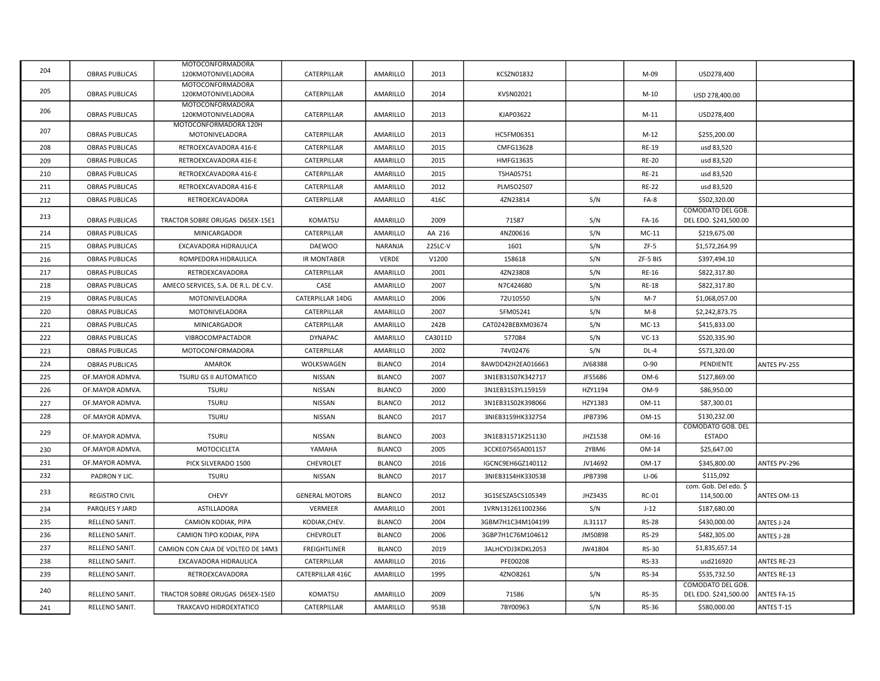|     |                       | MOTOCONFORMADORA                              |                         |               |         |                   |         |              |                                            |                     |
|-----|-----------------------|-----------------------------------------------|-------------------------|---------------|---------|-------------------|---------|--------------|--------------------------------------------|---------------------|
| 204 | <b>OBRAS PUBLICAS</b> | 120KMOTONIVELADORA                            | CATERPILLAR             | AMARILLO      | 2013    | <b>KCSZN01832</b> |         | M-09         | USD278,400                                 |                     |
| 205 | <b>OBRAS PUBLICAS</b> | <b>MOTOCONFORMADORA</b><br>120KMOTONIVELADORA | CATERPILLAR             | AMARILLO      | 2014    | KVSN02021         |         | $M-10$       | USD 278,400.00                             |                     |
| 206 | <b>OBRAS PUBLICAS</b> | <b>MOTOCONFORMADORA</b><br>120KMOTONIVELADORA | CATERPILLAR             | AMARILLO      | 2013    | KJAP03622         |         | $M-11$       | USD278,400                                 |                     |
| 207 | <b>OBRAS PUBLICAS</b> | MOTOCONFORMADORA 120H<br>MOTONIVELADORA       | CATERPILLAR             | AMARILLO      | 2013    | HC5FM06351        |         | $M-12$       | \$255,200.00                               |                     |
| 208 | <b>OBRAS PUBLICAS</b> | RETROEXCAVADORA 416-E                         | CATERPILLAR             | AMARILLO      | 2015    | CMFG13628         |         | <b>RE-19</b> | usd 83,520                                 |                     |
| 209 | <b>OBRAS PUBLICAS</b> | RETROEXCAVADORA 416-E                         | CATERPILLAR             | AMARILLO      | 2015    | HMFG13635         |         | <b>RE-20</b> | usd 83,520                                 |                     |
| 210 | <b>OBRAS PUBLICAS</b> | RETROEXCAVADORA 416-E                         | CATERPILLAR             | AMARILLO      | 2015    | <b>TSHA05751</b>  |         | <b>RE-21</b> | usd 83,520                                 |                     |
| 211 | <b>OBRAS PUBLICAS</b> | RETROEXCAVADORA 416-E                         | CATERPILLAR             | AMARILLO      | 2012    | <b>PLMSO2507</b>  |         | <b>RE-22</b> | usd 83,520                                 |                     |
| 212 | <b>OBRAS PUBLICAS</b> | RETROEXCAVADORA                               | CATERPILLAR             | AMARILLO      | 416C    | 4ZN23814          | S/N     | FA-8         | \$502.320.00                               |                     |
| 213 | <b>OBRAS PUBLICAS</b> | TRACTOR SOBRE ORUGAS D65EX-15E1               | KOMATSU                 | AMARILLO      | 2009    | 71587             | S/N     | FA-16        | COMODATO DEL GOB.<br>DEL EDO. \$241,500.00 |                     |
| 214 | <b>OBRAS PUBLICAS</b> | <b>MINICARGADOR</b>                           | CATERPILLAR             | AMARILLO      | AA 216  | 4NZ00616          | S/N     | $MC-11$      | \$219.675.00                               |                     |
| 215 | <b>OBRAS PUBLICAS</b> | EXCAVADORA HIDRAULICA                         | <b>DAEWOO</b>           | NARANJA       | 225LC-V | 1601              | S/N     | $ZF-5$       | \$1,572,264.99                             |                     |
| 216 | <b>OBRAS PUBLICAS</b> | ROMPEDORA HIDRAULICA                          | <b>IR MONTABER</b>      | VERDE         | V1200   | 158618            | S/N     | ZF-5 BIS     | \$397,494.10                               |                     |
| 217 | <b>OBRAS PUBLICAS</b> | RETROEXCAVADORA                               | CATERPILLAR             | AMARILLO      | 2001    | 4ZN23808          | S/N     | RE-16        | \$822,317.80                               |                     |
| 218 | <b>OBRAS PUBLICAS</b> | AMECO SERVICES, S.A. DE R.L. DE C.V.          | CASE                    | AMARILLO      | 2007    | N7C424680         | S/N     | <b>RE-18</b> | \$822,317.80                               |                     |
| 219 | <b>OBRAS PUBLICAS</b> | <b>MOTONIVELADORA</b>                         | <b>CATERPILLAR 14DG</b> | AMARILLO      | 2006    | 72U10550          | S/N     | $M-7$        | \$1,068,057.00                             |                     |
| 220 | <b>OBRAS PUBLICAS</b> | <b>MOTONIVELADORA</b>                         | CATERPILLAR             | AMARILLO      | 2007    | 5FM05241          | S/N     | $M-8$        | \$2,242,873.75                             |                     |
| 221 | <b>OBRAS PUBLICAS</b> | MINICARGADOR                                  | CATERPILLAR             | AMARILLO      | 242B    | CAT0242BEBXM03674 | S/N     | $MC-13$      | \$415,833.00                               |                     |
| 222 | <b>OBRAS PUBLICAS</b> | VIBROCOMPACTADOR                              | <b>DYNAPAC</b>          | AMARILLO      | CA3011D | 577084            | S/N     | $VC-13$      | \$520,335.90                               |                     |
| 223 | <b>OBRAS PUBLICAS</b> | MOTOCONFORMADORA                              | CATERPILLAR             | AMARILLO      | 2002    | 74V02476          | S/N     | DL-4         | \$571,320.00                               |                     |
| 224 | <b>OBRAS PUBLICAS</b> | AMAROK                                        | WOLKSWAGEN              | <b>BLANCO</b> | 2014    | 8AWDD42H2EA016663 | JV68388 | $O-90$       | PENDIENTE                                  | ANTES PV-255        |
| 225 | OF.MAYOR ADMVA.       | TSURU GS II AUTOMATICO                        | NISSAN                  | <b>BLANCO</b> | 2007    | 3N1EB31S07K342717 | JFS5686 | OM-6         | \$127,869.00                               |                     |
| 226 | OF.MAYOR ADMVA.       | <b>TSURU</b>                                  | NISSAN                  | <b>BLANCO</b> | 2000    | 3N1EB31S3YL159159 | HZY1194 | OM-9         | \$86,950.00                                |                     |
| 227 | OF.MAYOR ADMVA.       | <b>TSURU</b>                                  | NISSAN                  | <b>BLANCO</b> | 2012    | 3N1EB31S02K398066 | HZY1383 | OM-11        | \$87,300.01                                |                     |
| 228 | OF.MAYOR ADMVA.       | <b>TSURU</b>                                  | NISSAN                  | <b>BLANCO</b> | 2017    | 3NIEB31S9HK332754 | JPB7396 | OM-15        | \$130,232.00                               |                     |
| 229 | OF.MAYOR ADMVA.       | <b>TSURU</b>                                  | NISSAN                  | <b>BLANCO</b> | 2003    | 3N1EB31571K251130 | JHZ1538 | OM-16        | COMODATO GOB. DEL<br><b>ESTADO</b>         |                     |
| 230 | OF.MAYOR ADMVA.       | MOTOCICLETA                                   |                         |               |         | 3CCKE07565A001157 |         |              |                                            |                     |
| 231 | OF.MAYOR ADMVA.       |                                               | YAMAHA                  | <b>BLANCO</b> | 2005    |                   | 2YBM6   | OM-14        | \$25,647.00                                |                     |
| 232 |                       | PICK SILVERADO 1500                           | CHEVROLET               | <b>BLANCO</b> | 2016    | IGCNC9EH6GZ140112 | JV14692 | OM-17        | \$345,800.00<br>\$115,092                  | <b>ANTES PV-296</b> |
|     | PADRON Y LIC.         | <b>TSURU</b>                                  | <b>NISSAN</b>           | <b>BLANCO</b> | 2017    | 3NIEB31S4HK330538 | JPB7398 | $LI-06$      | com. Gob. Del edo. \$                      |                     |
| 233 | <b>REGISTRO CIVIL</b> | <b>CHEVY</b>                                  | <b>GENERAL MOTORS</b>   | <b>BLANCO</b> | 2012    | 3G1SE5ZA5CS105349 | JHZ3435 | <b>RC-01</b> | 114,500.00                                 | ANTES OM-13         |
| 234 | PARQUES Y JARD        | ASTILLADORA                                   | VERMEER                 | AMARILLO      | 2001    | 1VRN1312611002366 | S/N     | $J-12$       | \$187,680.00                               |                     |
| 235 | RELLENO SANIT.        | CAMION KODIAK, PIPA                           | KODIAK, CHEV.           | <b>BLANCO</b> | 2004    | 3GBM7H1C34M104199 | JL31117 | <b>RS-28</b> | \$430,000.00                               | ANTES J-24          |
| 236 | RELLENO SANIT.        | CAMION TIPO KODIAK, PIPA                      | CHEVROLET               | <b>BLANCO</b> | 2006    | 3GBP7H1C76M104612 | JM50898 | <b>RS-29</b> | \$482,305.00                               | ANTES J-28          |
| 237 | RELLENO SANIT.        | CAMION CON CAJA DE VOLTEO DE 14M3             | <b>FREIGHTLINER</b>     | <b>BLANCO</b> | 2019    | 3ALHCYDJ3KDKL2053 | JW41804 | <b>RS-30</b> | \$1,835,657.14                             |                     |
| 238 | RELLENO SANIT.        | EXCAVADORA HIDRAULICA                         | CATERPILLAR             | AMARILLO      | 2016    | PFE00208          |         | <b>RS-33</b> | usd216920                                  | <b>ANTES RE-23</b>  |
| 239 | RELLENO SANIT.        | RETROEXCAVADORA                               | CATERPILLAR 416C        | AMARILLO      | 1995    | 4ZNO8261          | S/N     | <b>RS-34</b> | \$535,732.50                               | <b>ANTES RE-13</b>  |
| 240 | RELLENO SANIT.        | TRACTOR SOBRE ORUGAS D65EX-15E0               | <b>KOMATSU</b>          | AMARILLO      | 2009    | 71586             | S/N     | <b>RS-35</b> | COMODATO DEL GOB.<br>DEL EDO. \$241,500.00 | <b>ANTES FA-15</b>  |
| 241 | RELLENO SANIT.        | TRAXCAVO HIDROEXTATICO                        | CATERPILLAR             | AMARILLO      | 953B    | 7BY00963          | S/N     | <b>RS-36</b> | \$580,000.00                               | ANTES T-15          |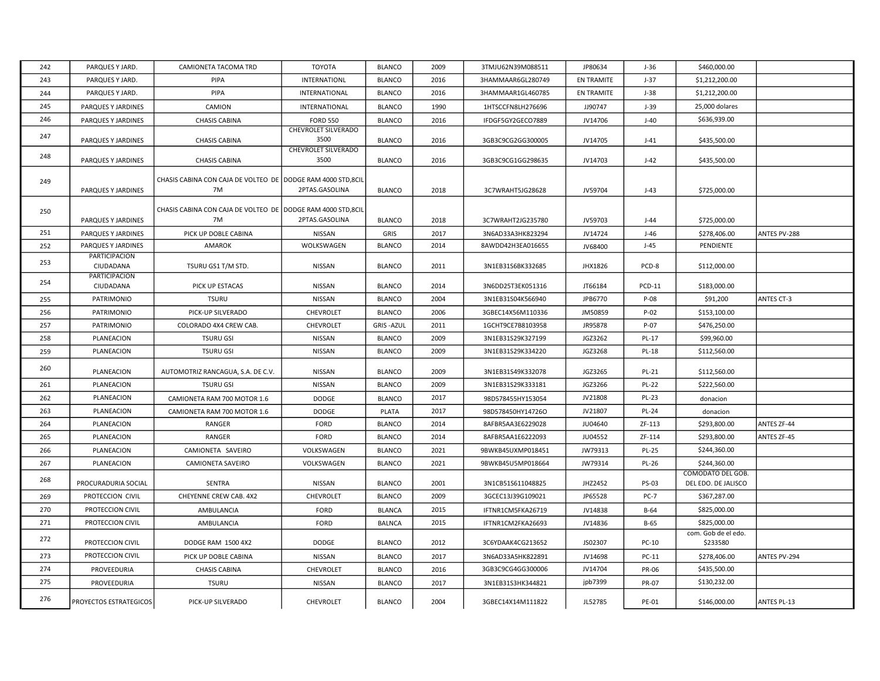| 242 | PARQUES Y JARD.                   | CAMIONETA TACOMA TRD                                               | <b>TOYOTA</b>                      | <b>BLANCO</b>    | 2009 | 3TMJU62N39M088511 | JP80634    | J-36          | \$460,000.00                             |                   |
|-----|-----------------------------------|--------------------------------------------------------------------|------------------------------------|------------------|------|-------------------|------------|---------------|------------------------------------------|-------------------|
| 243 | PARQUES Y JARD.                   | PIPA                                                               | <b>INTERNATIONL</b>                | <b>BLANCO</b>    | 2016 | 3HAMMAAR6GL280749 | EN TRAMITE | $J-37$        | \$1,212,200.00                           |                   |
| 244 | PARQUES Y JARD.                   | PIPA                                                               | <b>INTERNATIONAL</b>               | <b>BLANCO</b>    | 2016 | 3HAMMAAR1GL460785 | EN TRAMITE | $J-38$        | \$1,212,200.00                           |                   |
| 245 | PARQUES Y JARDINES                | CAMION                                                             | INTERNATIONAL                      | <b>BLANCO</b>    | 1990 | 1HTSCCFN8LH276696 | JJ90747    | $J-39$        | 25,000 dolares                           |                   |
| 246 | PARQUES Y JARDINES                | <b>CHASIS CABINA</b>                                               | <b>FORD 550</b>                    | <b>BLANCO</b>    | 2016 | IFDGF5GY2GECO7889 | JV14706    | $J-40$        | \$636,939.00                             |                   |
| 247 | PARQUES Y JARDINES                | <b>CHASIS CABINA</b>                                               | <b>CHEVROLET SILVERADO</b><br>3500 | <b>BLANCO</b>    | 2016 | 3GB3C9CG2GG300005 | JV14705    | $J-41$        | \$435,500.00                             |                   |
| 248 | PARQUES Y JARDINES                | <b>CHASIS CABINA</b>                                               | <b>CHEVROLET SILVERADO</b><br>3500 | <b>BLANCO</b>    | 2016 | 3GB3C9CG1GG298635 | JV14703    | $J-42$        | \$435,500.00                             |                   |
| 249 | PARQUES Y JARDINES                | CHASIS CABINA CON CAJA DE VOLTEO DE DODGE RAM 4000 STD, 8CIL<br>7M | 2PTAS.GASOLINA                     | <b>BLANCO</b>    | 2018 | 3C7WRAHT5JG28628  | JV59704    | $J-43$        | \$725,000.00                             |                   |
| 250 | PARQUES Y JARDINES                | CHASIS CABINA CON CAJA DE VOLTEO DE DODGE RAM 4000 STD, 8CIL<br>7M | 2PTAS.GASOLINA                     | <b>BLANCO</b>    | 2018 | 3C7WRAHT2JG235780 | JV59703    | $J-44$        | \$725,000.00                             |                   |
| 251 | PARQUES Y JARDINES                | PICK UP DOBLE CABINA                                               | NISSAN                             | GRIS             | 2017 | 3N6AD33A3HK823294 | JV14724    | $J-46$        | \$278,406.00                             | ANTES PV-288      |
| 252 | PARQUES Y JARDINES                | <b>AMAROK</b>                                                      | WOLKSWAGEN                         | <b>BLANCO</b>    | 2014 | 8AWDD42H3EA016655 | JV68400    | $J-45$        | PENDIENTE                                |                   |
| 253 | PARTICIPACION<br>CIUDADANA        | TSURU GS1 T/M STD.                                                 | NISSAN                             | <b>BLANCO</b>    | 2011 | 3N1EB31S6BK332685 | JHX1826    | PCD-8         | \$112,000.00                             |                   |
| 254 | <b>PARTICIPACION</b><br>CIUDADANA | PICK UP ESTACAS                                                    | <b>NISSAN</b>                      | <b>BLANCO</b>    | 2014 | 3N6DD25T3EK051316 | JT66184    | <b>PCD-11</b> | \$183,000.00                             |                   |
| 255 | PATRIMONIO                        | <b>TSURU</b>                                                       | <b>NISSAN</b>                      | <b>BLANCO</b>    | 2004 | 3N1EB31S04K566940 | JPB6770    | P-08          | \$91,200                                 | <b>ANTES CT-3</b> |
| 256 | PATRIMONIO                        | PICK-UP SILVERADO                                                  | CHEVROLET                          | <b>BLANCO</b>    | 2006 | 3GBEC14X56M110336 | JM50859    | $P-02$        | \$153,100.00                             |                   |
| 257 | PATRIMONIO                        | COLORADO 4X4 CREW CAB.                                             | CHEVROLET                          | <b>GRIS-AZUL</b> | 2011 | 1GCHT9CE7B8103958 | JR95878    | P-07          | \$476,250.00                             |                   |
| 258 | PLANEACION                        | <b>TSURU GSI</b>                                                   | NISSAN                             | <b>BLANCO</b>    | 2009 | 3N1EB31S29K327199 | JGZ3262    | PL-17         | \$99,960.00                              |                   |
| 259 | PLANEACION                        | <b>TSURU GSI</b>                                                   | <b>NISSAN</b>                      | <b>BLANCO</b>    | 2009 | 3N1EB31S29K334220 | JGZ3268    | <b>PL-18</b>  | \$112,560.00                             |                   |
| 260 | PLANEACION                        | AUTOMOTRIZ RANCAGUA, S.A. DE C.V.                                  | NISSAN                             | <b>BLANCO</b>    | 2009 | 3N1EB31S49K332078 | JGZ3265    | PL-21         | \$112,560.00                             |                   |
| 261 | PLANEACION                        | <b>TSURU GSI</b>                                                   | <b>NISSAN</b>                      | <b>BLANCO</b>    | 2009 | 3N1EB31S29K333181 | JGZ3266    | <b>PL-22</b>  | \$222,560.00                             |                   |
| 262 | PLANEACION                        | CAMIONETA RAM 700 MOTOR 1.6                                        | <b>DODGE</b>                       | <b>BLANCO</b>    | 2017 | 98D578455HY153054 | JV21808    | <b>PL-23</b>  | donacion                                 |                   |
| 263 | PLANEACION                        | CAMIONETA RAM 700 MOTOR 1.6                                        | DODGE                              | PLATA            | 2017 | 98D578450HY14726O | JV21807    | <b>PL-24</b>  | donacion                                 |                   |
| 264 | PLANEACION                        | RANGER                                                             | <b>FORD</b>                        | <b>BLANCO</b>    | 2014 | 8AFBR5AA3E6229028 | JU04640    | ZF-113        | \$293,800.00                             | ANTES ZF-44       |
| 265 | PLANEACION                        | RANGER                                                             | FORD                               | <b>BLANCO</b>    | 2014 | 8AFBR5AA1E6222093 | JU04552    | ZF-114        | \$293,800.00                             | ANTES ZF-45       |
| 266 | PLANEACION                        | CAMIONETA SAVEIRO                                                  | VOLKSWAGEN                         | <b>BLANCO</b>    | 2021 | 9BWKB45UXMP018451 | JW79313    | <b>PL-25</b>  | \$244,360.00                             |                   |
| 267 | PLANEACION                        | CAMIONETA SAVEIRO                                                  | VOLKSWAGEN                         | <b>BLANCO</b>    | 2021 | 9BWKB45U5MP018664 | JW79314    | PL-26         | \$244,360.00                             |                   |
| 268 | PROCURADURIA SOCIAL               | <b>SENTRA</b>                                                      | <b>NISSAN</b>                      | <b>BLANCO</b>    | 2001 | 3N1CB51S611048825 | JHZ2452    | PS-03         | COMODATO DEL GOB.<br>DEL EDO. DE JALISCO |                   |
| 269 | PROTECCION CIVIL                  | CHEYENNE CREW CAB. 4X2                                             | CHEVROLET                          | <b>BLANCO</b>    | 2009 | 3GCEC13J39G109021 | JP65528    | <b>PC-7</b>   | \$367,287.00                             |                   |
| 270 | PROTECCION CIVIL                  | AMBULANCIA                                                         | <b>FORD</b>                        | <b>BLANCA</b>    | 2015 | IFTNR1CM5FKA26719 | JV14838    | $B-64$        | \$825,000.00                             |                   |
| 271 | PROTECCION CIVIL                  | AMBULANCIA                                                         | <b>FORD</b>                        | <b>BALNCA</b>    | 2015 | IFTNR1CM2FKA26693 | JV14836    | $B-65$        | \$825,000.00                             |                   |
| 272 | PROTECCION CIVIL                  | DODGE RAM 1500 4X2                                                 | <b>DODGE</b>                       | <b>BLANCO</b>    | 2012 | 3C6YDAAK4CG213652 | JS02307    | PC-10         | com. Gob de el edo.<br>\$233580          |                   |
| 273 | PROTECCION CIVIL                  | PICK UP DOBLE CABINA                                               | NISSAN                             | <b>BLANCO</b>    | 2017 | 3N6AD33A5HK822891 | JV14698    | PC-11         | \$278,406.00                             | ANTES PV-294      |
| 274 | PROVEEDURIA                       | <b>CHASIS CABINA</b>                                               | CHEVROLET                          | <b>BLANCO</b>    | 2016 | 3GB3C9CG4GG300006 | JV14704    | <b>PR-06</b>  | \$435,500.00                             |                   |
| 275 | PROVEEDURIA                       | <b>TSURU</b>                                                       | NISSAN                             | <b>BLANCO</b>    | 2017 | 3N1EB31S3HK344821 | jpb7399    | <b>PR-07</b>  | \$130,232.00                             |                   |
| 276 | <b>PROYECTOS ESTRATEGICOS</b>     | PICK-UP SILVERADO                                                  | <b>CHEVROLET</b>                   | <b>BLANCO</b>    | 2004 | 3GBEC14X14M111822 | JL52785    | PE-01         | \$146,000.00                             | ANTES PL-13       |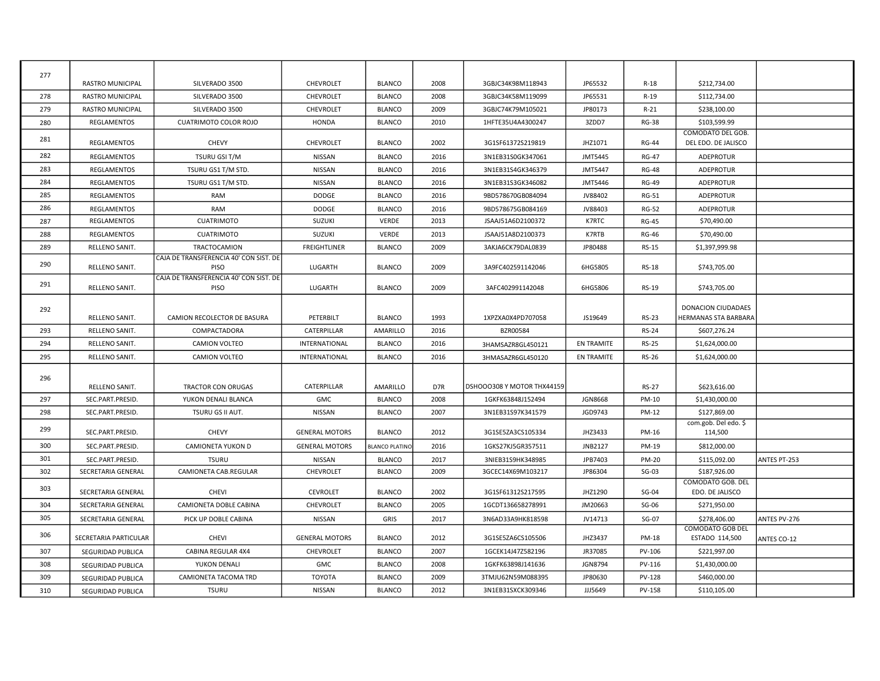| 277 | RASTRO MUNICIPAL        | SILVERADO 3500                                 | CHEVROLET             | <b>BLANCO</b>         | 2008 | 3GBJC34K98M118943          | JP65532           | $R-18$       | \$212,734.00                                    |              |
|-----|-------------------------|------------------------------------------------|-----------------------|-----------------------|------|----------------------------|-------------------|--------------|-------------------------------------------------|--------------|
| 278 | <b>RASTRO MUNICIPAL</b> | SILVERADO 3500                                 | <b>CHEVROLET</b>      | <b>BLANCO</b>         | 2008 | 3GBJC34K58M119099          | JP65531           | $R-19$       | \$112,734.00                                    |              |
| 279 | <b>RASTRO MUNICIPAL</b> | SILVERADO 3500                                 | CHEVROLET             | <b>BLANCO</b>         | 2009 | 3GBJC74K79M105021          | JP80173           | $R-21$       | \$238,100.00                                    |              |
| 280 | REGLAMENTOS             | CUATRIMOTO COLOR ROJO                          | <b>HONDA</b>          | <b>BLANCO</b>         | 2010 | 1HFTE35U4A4300247          | 3ZDD7             | <b>RG-38</b> | \$103,599.99                                    |              |
| 281 | REGLAMENTOS             | <b>CHEVY</b>                                   | CHEVROLET             | <b>BLANCO</b>         | 2002 | 3G1SF61372S219819          | JHZ1071           | <b>RG-44</b> | <b>COMODATO DEL GOB.</b><br>DEL EDO. DE JALISCO |              |
| 282 | REGLAMENTOS             | TSURU GSI T/M                                  | NISSAN                | <b>BLANCO</b>         | 2016 | 3N1EB31S0GK347061          | JMT5445           | <b>RG-47</b> | <b>ADEPROTUR</b>                                |              |
| 283 | REGLAMENTOS             | TSURU GS1 T/M STD.                             | NISSAN                | <b>BLANCO</b>         | 2016 | 3N1EB31S4GK346379          | JMT5447           | <b>RG-48</b> | ADEPROTUR                                       |              |
| 284 | REGLAMENTOS             | TSURU GS1 T/M STD.                             | NISSAN                | <b>BLANCO</b>         | 2016 | 3N1EB31S3GK346082          | JMT5446           | <b>RG-49</b> | <b>ADEPROTUR</b>                                |              |
| 285 | REGLAMENTOS             | <b>RAM</b>                                     | <b>DODGE</b>          | <b>BLANCO</b>         | 2016 | 9BD578670GB084094          | JV88402           | <b>RG-51</b> | <b>ADEPROTUR</b>                                |              |
| 286 | <b>REGLAMENTOS</b>      | <b>RAM</b>                                     | <b>DODGE</b>          | <b>BLANCO</b>         | 2016 | 9BD578675GB084169          | JV88403           | <b>RG-52</b> | <b>ADEPROTUR</b>                                |              |
| 287 | <b>REGLAMENTOS</b>      | <b>CUATRIMOTO</b>                              | <b>SUZUKI</b>         | <b>VERDE</b>          | 2013 | JSAAJ51A6D2100372          | K7RTC             | <b>RG-45</b> | \$70,490.00                                     |              |
| 288 | REGLAMENTOS             | <b>CUATRIMOTO</b>                              | SUZUKI                | <b>VERDE</b>          | 2013 | JSAAJ51A8D2100373          | K7RTB             | <b>RG-46</b> | \$70,490.00                                     |              |
| 289 | RELLENO SANIT.          | TRACTOCAMION                                   | <b>FREIGHTLINER</b>   | <b>BLANCO</b>         | 2009 | 3AKJA6CK79DAL0839          | JP80488           | <b>RS-15</b> | \$1,397,999.98                                  |              |
| 290 | RELLENO SANIT.          | CAJA DE TRANSFERENCIA 40' CON SIST. DE<br>PISO | LUGARTH               | <b>BLANCO</b>         | 2009 | 3A9FC402591142046          | 6HG5805           | <b>RS-18</b> | \$743,705.00                                    |              |
|     |                         | CAJA DE TRANSFERENCIA 40' CON SIST. DE         |                       |                       |      |                            |                   |              |                                                 |              |
| 291 | RELLENO SANIT.          | PISO                                           | LUGARTH               | <b>BLANCO</b>         | 2009 | 3AFC402991142048           | 6HG5806           | RS-19        | \$743,705.00                                    |              |
| 292 | RELLENO SANIT.          | CAMION RECOLECTOR DE BASURA                    | PETERBILT             | <b>BLANCO</b>         | 1993 | 1XPZXA0X4PD707058          | JS19649           | <b>RS-23</b> | DONACION CIUDADAES<br>HERMANAS STA BARBARA      |              |
| 293 | RELLENO SANIT.          | COMPACTADORA                                   | CATERPILLAR           | AMARILLO              | 2016 | <b>BZR00584</b>            |                   | <b>RS-24</b> | \$607,276.24                                    |              |
| 294 | RELLENO SANIT.          | <b>CAMION VOLTEO</b>                           | <b>INTERNATIONAL</b>  | <b>BLANCO</b>         | 2016 | 3HAMSAZR8GL450121          | <b>EN TRAMITE</b> | <b>RS-25</b> | \$1,624,000.00                                  |              |
| 295 | RELLENO SANIT.          | CAMION VOLTEO                                  | INTERNATIONAL         | <b>BLANCO</b>         | 2016 | 3HMASAZR6GL450120          | EN TRAMITE        | <b>RS-26</b> | \$1,624,000.00                                  |              |
| 296 | RELLENO SANIT.          | <b>TRACTOR CON ORUGAS</b>                      | CATERPILLAR           | AMARILLO              | D7R  | DSHOOO308 Y MOTOR THX44159 |                   | <b>RS-27</b> | \$623,616.00                                    |              |
| 297 | SEC.PART.PRESID.        | YUKON DENALI BLANCA                            | GMC                   | <b>BLANCO</b>         | 2008 | 1GKFK63848J152494          | <b>JGN8668</b>    | PM-10        | \$1,430,000.00                                  |              |
| 298 | SEC.PART.PRESID.        | TSURU GS II AUT.                               | NISSAN                | <b>BLANCO</b>         | 2007 | 3N1EB31S97K341579          | JGD9743           | PM-12        | \$127,869.00                                    |              |
| 299 | SEC.PART.PRESID.        | <b>CHEVY</b>                                   | <b>GENERAL MOTORS</b> | <b>BLANCO</b>         | 2012 | 3G1SE5ZA3CS105334          | JHZ3433           | PM-16        | com.gob. Del edo. \$<br>114,500                 |              |
| 300 | SEC.PART.PRESID.        | CAMIONETA YUKON D                              | <b>GENERAL MOTORS</b> | <b>BLANCO PLATINC</b> | 2016 | 1GKS27KJ5GR357511          | JNB2127           | PM-19        | \$812,000.00                                    |              |
| 301 | SEC.PART.PRESID.        | <b>TSURU</b>                                   | NISSAN                | <b>BLANCO</b>         | 2017 | 3NIEB31S9HK348985          | JPB7403           | <b>PM-20</b> | \$115,092.00                                    | ANTES PT-253 |
| 302 | SECRETARIA GENERAL      | CAMIONETA CAB.REGULAR                          | CHEVROLET             | <b>BLANCO</b>         | 2009 | 3GCEC14X69M103217          | JP86304           | $SG-03$      | \$187.926.00                                    |              |
| 303 | SECRETARIA GENERAL      | CHEVI                                          | <b>CEVROLET</b>       | <b>BLANCO</b>         | 2002 | 3G1SF61312S217595          | JHZ1290           | SG-04        | COMODATO GOB. DEL<br>EDO. DE JALISCO            |              |
| 304 | SECRETARIA GENERAL      | CAMIONETA DOBLE CABINA                         | CHEVROLET             | <b>BLANCO</b>         | 2005 | 1GCDT136658278991          | JM20663           | SG-06        | \$271,950.00                                    |              |
| 305 | SECRETARIA GENERAL      | PICK UP DOBLE CABINA                           | NISSAN                | GRIS                  | 2017 | 3N6AD33A9HK818598          | JV14713           | $SG-07$      | \$278,406.00                                    | ANTES PV-276 |
| 306 | SECRETARIA PARTICULAR   | <b>CHEVI</b>                                   | <b>GENERAL MOTORS</b> | <b>BLANCO</b>         | 2012 | 3G1SE5ZA6CS105506          | JHZ3437           | PM-18        | <b>COMODATO GOB DEL</b><br>ESTADO 114,500       | ANTES CO-12  |
| 307 | SEGURIDAD PUBLICA       | CABINA REGULAR 4X4                             | CHEVROLET             | <b>BLANCO</b>         | 2007 | 1GCEK14J47Z582196          | JR37085           | PV-106       | \$221,997.00                                    |              |
| 308 | SEGURIDAD PUBLICA       | YUKON DENALI                                   | <b>GMC</b>            | <b>BLANCO</b>         | 2008 | 1GKFK63898J141636          | <b>JGN8794</b>    | PV-116       | \$1,430,000.00                                  |              |
| 309 | SEGURIDAD PUBLICA       | CAMIONETA TACOMA TRD                           | <b>TOYOTA</b>         | <b>BLANCO</b>         | 2009 | 3TMJU62N59M088395          | JP80630           | PV-128       | \$460,000.00                                    |              |
| 310 | SEGURIDAD PUBLICA       | <b>TSURU</b>                                   | NISSAN                | <b>BLANCO</b>         | 2012 | 3N1EB31SXCK309346          | JJJ5649           | PV-158       | \$110,105.00                                    |              |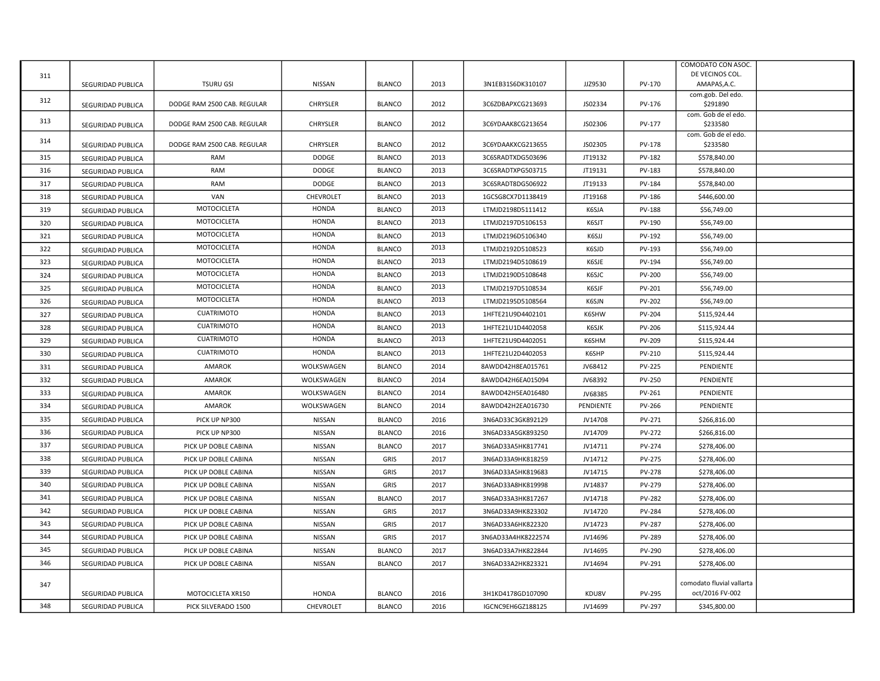|     |                          |                             |                 |               |      |                    |           |               | COMODATO CON ASOC.            |  |
|-----|--------------------------|-----------------------------|-----------------|---------------|------|--------------------|-----------|---------------|-------------------------------|--|
| 311 |                          |                             |                 |               |      |                    |           |               | DE VECINOS COL.               |  |
|     | <b>SEGURIDAD PUBLICA</b> | <b>TSURU GSI</b>            | NISSAN          | <b>BLANCO</b> | 2013 | 3N1EB31S6DK310107  | JJZ9530   | PV-170        | AMAPAS, A.C.                  |  |
| 312 | SEGURIDAD PUBLICA        | DODGE RAM 2500 CAB. REGULAR | CHRYSLER        | <b>BLANCO</b> | 2012 | 3C6ZDBAPXCG213693  | JS02334   | PV-176        | com.gob. Del edo.<br>\$291890 |  |
|     |                          |                             |                 |               |      |                    |           |               | com. Gob de el edo.           |  |
| 313 | SEGURIDAD PUBLICA        | DODGE RAM 2500 CAB. REGULAR | <b>CHRYSLER</b> | <b>BLANCO</b> | 2012 | 3C6YDAAK8CG213654  | JS02306   | PV-177        | \$233580                      |  |
| 314 |                          |                             |                 |               |      |                    |           |               | com. Gob de el edo.           |  |
|     | SEGURIDAD PUBLICA        | DODGE RAM 2500 CAB. REGULAR | <b>CHRYSLER</b> | <b>BLANCO</b> | 2012 | 3C6YDAAKXCG213655  | JS02305   | <b>PV-178</b> | \$233580                      |  |
| 315 | SEGURIDAD PUBLICA        | <b>RAM</b>                  | <b>DODGE</b>    | <b>BLANCO</b> | 2013 | 3C6SRADTXDG503696  | JT19132   | PV-182        | \$578,840.00                  |  |
| 316 | SEGURIDAD PUBLICA        | RAM                         | DODGE           | <b>BLANCO</b> | 2013 | 3C6SRADTXPG503715  | JT19131   | PV-183        | \$578,840.00                  |  |
| 317 | SEGURIDAD PUBLICA        | RAM                         | DODGE           | <b>BLANCO</b> | 2013 | 3C6SRADT8DG506922  | JT19133   | PV-184        | \$578,840.00                  |  |
| 318 | SEGURIDAD PUBLICA        | VAN                         | CHEVROLET       | <b>BLANCO</b> | 2013 | 1GCSG8CX7D1138419  | JT19168   | <b>PV-186</b> | \$446,600.00                  |  |
| 319 | SEGURIDAD PUBLICA        | MOTOCICLETA                 | <b>HONDA</b>    | <b>BLANCO</b> | 2013 | LTMJD2198D5111412  | K6SJA     | <b>PV-188</b> | \$56,749.00                   |  |
| 320 | SEGURIDAD PUBLICA        | MOTOCICLETA                 | <b>HONDA</b>    | <b>BLANCO</b> | 2013 | LTMJD2197D5106153  | K6SJT     | <b>PV-190</b> | \$56,749.00                   |  |
| 321 | SEGURIDAD PUBLICA        | MOTOCICLETA                 | <b>HONDA</b>    | <b>BLANCO</b> | 2013 | LTMJD2196D5106340  | K6SJJ     | PV-192        | \$56,749.00                   |  |
| 322 | SEGURIDAD PUBLICA        | MOTOCICLETA                 | <b>HONDA</b>    | <b>BLANCO</b> | 2013 | LTMJD2192D5108523  | K6SJD     | <b>PV-193</b> | \$56,749.00                   |  |
| 323 | SEGURIDAD PUBLICA        | MOTOCICLETA                 | <b>HONDA</b>    | <b>BLANCO</b> | 2013 | LTMJD2194D5108619  | K6SJE     | PV-194        | \$56,749.00                   |  |
| 324 | SEGURIDAD PUBLICA        | MOTOCICLETA                 | HONDA           | <b>BLANCO</b> | 2013 | LTMJD2190D5108648  | K6SJC     | <b>PV-200</b> | \$56,749.00                   |  |
| 325 | SEGURIDAD PUBLICA        | MOTOCICLETA                 | <b>HONDA</b>    | <b>BLANCO</b> | 2013 | LTMJD2197D5108534  | K6SJF     | PV-201        | \$56,749.00                   |  |
| 326 | SEGURIDAD PUBLICA        | MOTOCICLETA                 | <b>HONDA</b>    | <b>BLANCO</b> | 2013 | LTMJD2195D5108564  | K6SJN     | PV-202        | \$56,749.00                   |  |
| 327 | SEGURIDAD PUBLICA        | <b>CUATRIMOTO</b>           | <b>HONDA</b>    | <b>BLANCO</b> | 2013 | 1HFTE21U9D4402101  | K6SHW     | PV-204        | \$115,924.44                  |  |
| 328 | SEGURIDAD PUBLICA        | <b>CUATRIMOTO</b>           | <b>HONDA</b>    | <b>BLANCO</b> | 2013 | 1HFTE21U1D4402058  | K6SJK     | PV-206        | \$115,924.44                  |  |
| 329 | SEGURIDAD PUBLICA        | <b>CUATRIMOTO</b>           | <b>HONDA</b>    | <b>BLANCO</b> | 2013 | 1HFTE21U9D4402051  | K6SHM     | PV-209        | \$115,924.44                  |  |
| 330 | SEGURIDAD PUBLICA        | <b>CUATRIMOTO</b>           | <b>HONDA</b>    | <b>BLANCO</b> | 2013 | 1HFTE21U2D4402053  | K6SHP     | PV-210        | \$115,924.44                  |  |
| 331 | SEGURIDAD PUBLICA        | AMAROK                      | WOLKSWAGEN      | <b>BLANCO</b> | 2014 | 8AWDD42H8EA015761  | JV68412   | <b>PV-225</b> | PENDIENTE                     |  |
| 332 | SEGURIDAD PUBLICA        | <b>AMAROK</b>               | WOLKSWAGEN      | <b>BLANCO</b> | 2014 | 8AWDD42H6EA015094  | JV68392   | <b>PV-250</b> | PENDIENTE                     |  |
| 333 | SEGURIDAD PUBLICA        | <b>AMAROK</b>               | WOLKSWAGEN      | <b>BLANCO</b> | 2014 | 8AWDD42H5EA016480  | JV68385   | PV-261        | PENDIENTE                     |  |
| 334 | SEGURIDAD PUBLICA        | <b>AMAROK</b>               | WOLKSWAGEN      | <b>BLANCO</b> | 2014 | 8AWDD42H2EA016730  | PENDIENTE | <b>PV-266</b> | PENDIENTE                     |  |
| 335 | SEGURIDAD PUBLICA        | PICK UP NP300               | NISSAN          | <b>BLANCO</b> | 2016 | 3N6AD33C3GK892129  | JV14708   | PV-271        | \$266,816.00                  |  |
| 336 | SEGURIDAD PUBLICA        | PICK UP NP300               | NISSAN          | <b>BLANCO</b> | 2016 | 3N6AD33A5GK893250  | JV14709   | PV-272        | \$266,816.00                  |  |
| 337 |                          |                             |                 |               |      |                    |           |               |                               |  |
| 338 | SEGURIDAD PUBLICA        | PICK UP DOBLE CABINA        | NISSAN          | <b>BLANCO</b> | 2017 | 3N6AD33A5HK817741  | JV14711   | PV-274        | \$278,406.00                  |  |
|     | SEGURIDAD PUBLICA        | PICK UP DOBLE CABINA        | NISSAN          | GRIS          | 2017 | 3N6AD33A9HK818259  | JV14712   | PV-275        | \$278,406.00                  |  |
| 339 | SEGURIDAD PUBLICA        | PICK UP DOBLE CABINA        | NISSAN          | GRIS          | 2017 | 3N6AD33A5HK819683  | JV14715   | PV-278        | \$278,406.00                  |  |
| 340 | SEGURIDAD PUBLICA        | PICK UP DOBLE CABINA        | NISSAN          | GRIS          | 2017 | 3N6AD33A8HK819998  | JV14837   | PV-279        | \$278,406.00                  |  |
| 341 | SEGURIDAD PUBLICA        | PICK UP DOBLE CABINA        | NISSAN          | <b>BLANCO</b> | 2017 | 3N6AD33A3HK817267  | JV14718   | PV-282        | \$278,406.00                  |  |
| 342 | SEGURIDAD PUBLICA        | PICK UP DOBLE CABINA        | NISSAN          | GRIS          | 2017 | 3N6AD33A9HK823302  | JV14720   | PV-284        | \$278,406.00                  |  |
| 343 | SEGURIDAD PUBLICA        | PICK UP DOBLE CABINA        | NISSAN          | GRIS          | 2017 | 3N6AD33A6HK822320  | JV14723   | PV-287        | \$278,406.00                  |  |
| 344 | SEGURIDAD PUBLICA        | PICK UP DOBLE CABINA        | NISSAN          | GRIS          | 2017 | 3N6AD33A4HK8222574 | JV14696   | PV-289        | \$278,406.00                  |  |
| 345 | SEGURIDAD PUBLICA        | PICK UP DOBLE CABINA        | NISSAN          | <b>BLANCO</b> | 2017 | 3N6AD33A7HK822844  | JV14695   | PV-290        | \$278,406.00                  |  |
| 346 | SEGURIDAD PUBLICA        | PICK UP DOBLE CABINA        | NISSAN          | <b>BLANCO</b> | 2017 | 3N6AD33A2HK823321  | JV14694   | PV-291        | \$278,406.00                  |  |
|     |                          |                             |                 |               |      |                    |           |               | comodato fluvial vallarta     |  |
| 347 | SEGURIDAD PUBLICA        | MOTOCICLETA XR150           | <b>HONDA</b>    | <b>BLANCO</b> | 2016 | 3H1KD4178GD107090  | KDU8V     | <b>PV-295</b> | oct/2016 FV-002               |  |
| 348 | SEGURIDAD PUBLICA        | PICK SILVERADO 1500         | CHEVROLET       | <b>BLANCO</b> | 2016 | IGCNC9EH6GZ188125  | JV14699   | PV-297        | \$345,800.00                  |  |
|     |                          |                             |                 |               |      |                    |           |               |                               |  |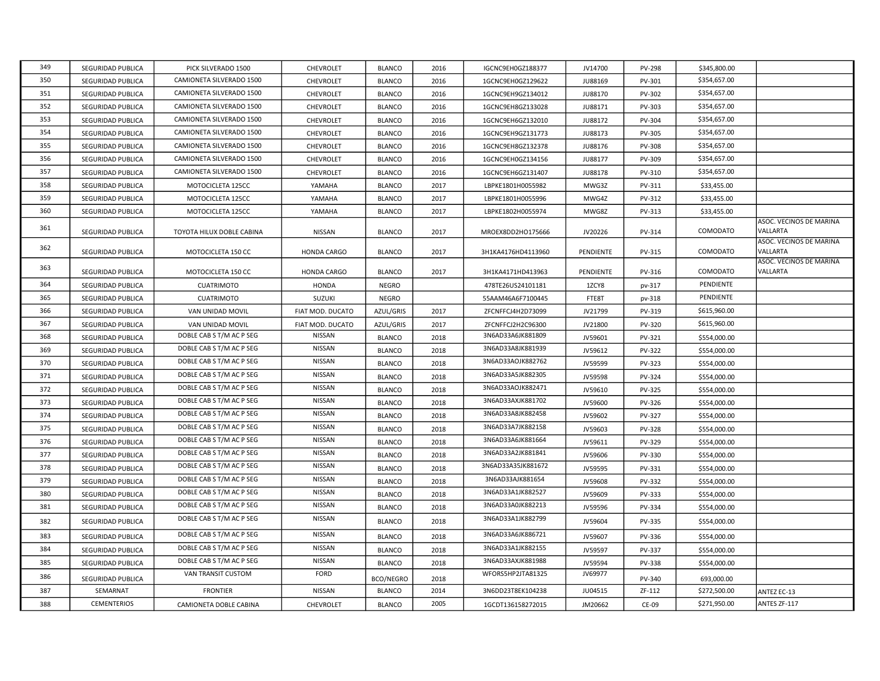| 349 | SEGURIDAD PUBLICA  | PICK SILVERADO 1500       | CHEVROLET        | <b>BLANCO</b>    | 2016 | IGCNC9EH0GZ188377  | JV14700        | <b>PV-298</b> | \$345,800.00 |                                     |
|-----|--------------------|---------------------------|------------------|------------------|------|--------------------|----------------|---------------|--------------|-------------------------------------|
| 350 | SEGURIDAD PUBLICA  | CAMIONETA SILVERADO 1500  | CHEVROLET        | <b>BLANCO</b>    | 2016 | 1GCNC9EH0GZ129622  | <b>JU88169</b> | PV-301        | \$354,657.00 |                                     |
| 351 | SEGURIDAD PUBLICA  | CAMIONETA SILVERADO 1500  | CHEVROLET        | <b>BLANCO</b>    | 2016 | 1GCNC9EH9GZ134012  | JU88170        | PV-302        | \$354,657.00 |                                     |
| 352 | SEGURIDAD PUBLICA  | CAMIONETA SILVERADO 1500  | CHEVROLET        | <b>BLANCO</b>    | 2016 | 1GCNC9EH8GZ133028  | JU88171        | PV-303        | \$354,657.00 |                                     |
| 353 | SEGURIDAD PUBLICA  | CAMIONETA SILVERADO 1500  | CHEVROLET        | <b>BLANCO</b>    | 2016 | 1GCNC9EH6GZ132010  | JU88172        | PV-304        | \$354,657.00 |                                     |
| 354 | SEGURIDAD PUBLICA  | CAMIONETA SILVERADO 1500  | CHEVROLET        | <b>BLANCO</b>    | 2016 | 1GCNC9EH9GZ131773  | <b>JU88173</b> | PV-305        | \$354,657.00 |                                     |
| 355 | SEGURIDAD PUBLICA  | CAMIONETA SILVERADO 1500  | CHEVROLET        | <b>BLANCO</b>    | 2016 | 1GCNC9EH8GZ132378  | <b>JU88176</b> | <b>PV-308</b> | \$354,657.00 |                                     |
| 356 | SEGURIDAD PUBLICA  | CAMIONETA SILVERADO 1500  | CHEVROLET        | <b>BLANCO</b>    | 2016 | 1GCNC9EH0GZ134156  | JU88177        | PV-309        | \$354,657.00 |                                     |
| 357 | SEGURIDAD PUBLICA  | CAMIONETA SILVERADO 1500  | CHEVROLET        | <b>BLANCO</b>    | 2016 | 1GCNC9EH6GZ131407  | <b>JU88178</b> | PV-310        | \$354,657.00 |                                     |
| 358 | SEGURIDAD PUBLICA  | MOTOCICLETA 125CC         | YAMAHA           | <b>BLANCO</b>    | 2017 | LBPKE1801H0055982  | MWG3Z          | PV-311        | \$33,455.00  |                                     |
| 359 | SEGURIDAD PUBLICA  | MOTOCICLETA 125CC         | YAMAHA           | <b>BLANCO</b>    | 2017 | LBPKE1801H0055996  | MWG4Z          | PV-312        | \$33,455.00  |                                     |
| 360 | SEGURIDAD PUBLICA  | MOTOCICLETA 125CC         | YAMAHA           | <b>BLANCO</b>    | 2017 | LBPKE1802H0055974  | MWG8Z          | PV-313        | \$33,455.00  |                                     |
| 361 | SEGURIDAD PUBLICA  | TOYOTA HILUX DOBLE CABINA | NISSAN           | <b>BLANCO</b>    | 2017 | MROEX8DD2HO175666  | JV20226        | PV-314        | COMODATO     | ASOC. VECINOS DE MARINA<br>VALLARTA |
| 362 | SEGURIDAD PUBLICA  | MOTOCICLETA 150 CC        | HONDA CARGO      | <b>BLANCO</b>    | 2017 | 3H1KA4176HD4113960 | PENDIENTE      | PV-315        | COMODATO     | ASOC. VECINOS DE MARINA<br>VALLARTA |
| 363 | SEGURIDAD PUBLICA  | MOTOCICLETA 150 CC        | HONDA CARGO      | <b>BLANCO</b>    | 2017 | 3H1KA4171HD413963  | PENDIENTE      | PV-316        | COMODATO     | ASOC. VECINOS DE MARINA<br>VALLARTA |
| 364 | SEGURIDAD PUBLICA  | <b>CUATRIMOTO</b>         | <b>HONDA</b>     | <b>NEGRO</b>     |      | 478TE26US24101181  | 1ZCY8          | pv-317        | PENDIENTE    |                                     |
| 365 | SEGURIDAD PUBLICA  | CUATRIMOTO                | <b>SUZUKI</b>    | <b>NEGRO</b>     |      | 55AAM46A6F7100445  | FTE8T          | pv-318        | PENDIENTE    |                                     |
| 366 | SEGURIDAD PUBLICA  | VAN UNIDAD MOVIL          | FIAT MOD. DUCATO | AZUL/GRIS        | 2017 | ZFCNFFCJ4H2D73099  | JV21799        | PV-319        | \$615,960.00 |                                     |
| 367 | SEGURIDAD PUBLICA  | VAN UNIDAD MOVIL          | FIAT MOD. DUCATO | AZUL/GRIS        | 2017 | ZFCNFFCJ2H2C96300  | JV21800        | PV-320        | \$615,960.00 |                                     |
| 368 | SEGURIDAD PUBLICA  | DOBLE CAB S T/M AC P SEG  | NISSAN           | <b>BLANCO</b>    | 2018 | 3N6AD33A6JK881809  | JV59601        | PV-321        | \$554,000.00 |                                     |
| 369 | SEGURIDAD PUBLICA  | DOBLE CAB S T/M AC P SEG  | NISSAN           | <b>BLANCO</b>    | 2018 | 3N6AD33A8JK881939  | JV59612        | PV-322        | \$554,000.00 |                                     |
| 370 | SEGURIDAD PUBLICA  | DOBLE CAB S T/M AC P SEG  | NISSAN           | <b>BLANCO</b>    | 2018 | 3N6AD33AOJK882762  | JV59599        | PV-323        | \$554,000.00 |                                     |
| 371 | SEGURIDAD PUBLICA  | DOBLE CAB S T/M AC P SEG  | NISSAN           | <b>BLANCO</b>    | 2018 | 3N6AD33A5JK882305  | JV59598        | PV-324        | \$554,000.00 |                                     |
| 372 | SEGURIDAD PUBLICA  | DOBLE CAB S T/M AC P SEG  | NISSAN           | <b>BLANCO</b>    | 2018 | 3N6AD33AOJK882471  | JV59610        | PV-325        | \$554,000.00 |                                     |
| 373 | SEGURIDAD PUBLICA  | DOBLE CAB S T/M AC P SEG  | NISSAN           | <b>BLANCO</b>    | 2018 | 3N6AD33AXJK881702  | JV59600        | PV-326        | \$554,000.00 |                                     |
| 374 | SEGURIDAD PUBLICA  | DOBLE CAB S T/M AC P SEG  | NISSAN           | <b>BLANCO</b>    | 2018 | 3N6AD33A8JK882458  | JV59602        | PV-327        | \$554,000.00 |                                     |
| 375 | SEGURIDAD PUBLICA  | DOBLE CAB S T/M AC P SEG  | NISSAN           | <b>BLANCO</b>    | 2018 | 3N6AD33A7JK882158  | JV59603        | PV-328        | \$554,000.00 |                                     |
| 376 | SEGURIDAD PUBLICA  | DOBLE CAB S T/M AC P SEG  | NISSAN           | <b>BLANCO</b>    | 2018 | 3N6AD33A6JK881664  | JV59611        | PV-329        | \$554,000.00 |                                     |
| 377 | SEGURIDAD PUBLICA  | DOBLE CAB S T/M AC P SEG  | NISSAN           | <b>BLANCO</b>    | 2018 | 3N6AD33A2JK881841  | JV59606        | PV-330        | \$554,000.00 |                                     |
| 378 | SEGURIDAD PUBLICA  | DOBLE CAB S T/M AC P SEG  | NISSAN           | <b>BLANCO</b>    | 2018 | 3N6AD33A35JK881672 | JV59595        | PV-331        | \$554,000.00 |                                     |
| 379 | SEGURIDAD PUBLICA  | DOBLE CAB S T/M AC P SEG  | NISSAN           | <b>BLANCO</b>    | 2018 | 3N6AD33AJK881654   | JV59608        | PV-332        | \$554,000.00 |                                     |
| 380 | SEGURIDAD PUBLICA  | DOBLE CAB S T/M AC P SEG  | NISSAN           | <b>BLANCO</b>    | 2018 | 3N6AD33A1JK882527  | JV59609        | PV-333        | \$554,000.00 |                                     |
| 381 | SEGURIDAD PUBLICA  | DOBLE CAB S T/M AC P SEG  | NISSAN           | <b>BLANCO</b>    | 2018 | 3N6AD33A0JK882213  | JV59596        | PV-334        | \$554,000.00 |                                     |
| 382 | SEGURIDAD PUBLICA  | DOBLE CAB S T/M AC P SEG  | NISSAN           | <b>BLANCO</b>    | 2018 | 3N6AD33A1JK882799  | JV59604        | PV-335        | \$554,000.00 |                                     |
| 383 | SEGURIDAD PUBLICA  | DOBLE CAB S T/M AC P SEG  | NISSAN           | <b>BLANCO</b>    | 2018 | 3N6AD33A6JK886721  | JV59607        | PV-336        | \$554,000.00 |                                     |
| 384 | SEGURIDAD PUBLICA  | DOBLE CAB S T/M AC P SEG  | NISSAN           | <b>BLANCO</b>    | 2018 | 3N6AD33A1JK882155  | JV59597        | PV-337        | \$554,000.00 |                                     |
| 385 | SEGURIDAD PUBLICA  | DOBLE CAB S T/M AC P SEG  | NISSAN           | <b>BLANCO</b>    | 2018 | 3N6AD33AXJK881988  | JV59594        | PV-338        | \$554,000.00 |                                     |
| 386 | SEGURIDAD PUBLICA  | VAN TRANSIT CUSTOM        | FORD             | <b>BCO/NEGRO</b> | 2018 | WFORS5HP2JTA81325  | JV69977        | <b>PV-340</b> | 693,000.00   |                                     |
| 387 | SEMARNAT           | <b>FRONTIER</b>           | NISSAN           | <b>BLANCO</b>    | 2014 | 3N6DD23T8EK104238  | JU04515        | ZF-112        | \$272,500.00 | ANTEZ EC-13                         |
| 388 | <b>CEMENTERIOS</b> | CAMIONETA DOBLE CABINA    | CHEVROLET        | <b>BLANCO</b>    | 2005 | 1GCDT136158272015  | JM20662        | CE-09         | \$271,950.00 | ANTES ZF-117                        |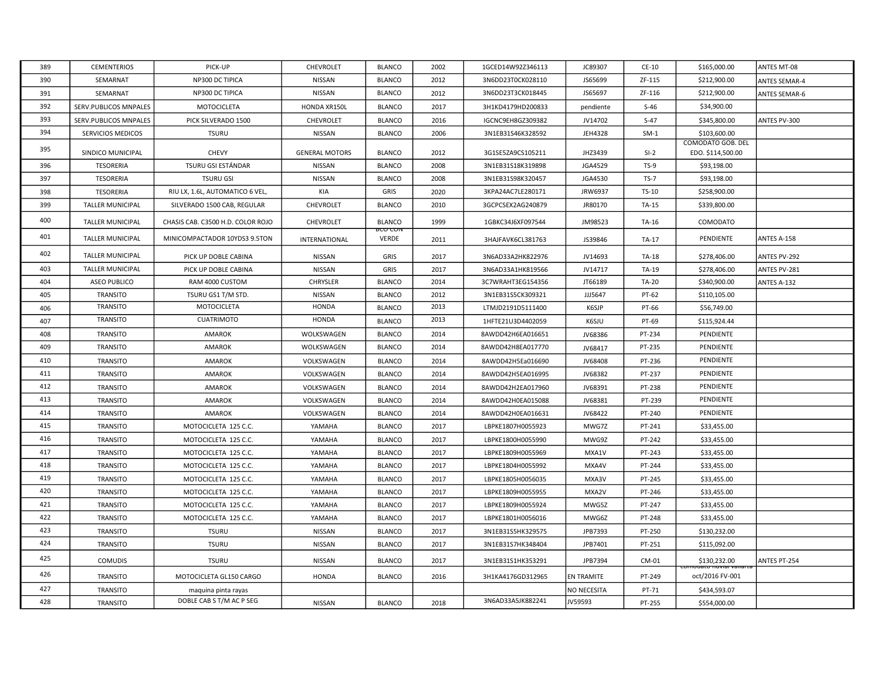| 389        | <b>CEMENTERIOS</b>                   | PICK-UP                                             | CHEVROLET                       | <b>BLANCO</b>                  | 2002         | 1GCED14W92Z346113                      | JC89307            | CE-10            | \$165,000.00                | ANTES MT-08          |
|------------|--------------------------------------|-----------------------------------------------------|---------------------------------|--------------------------------|--------------|----------------------------------------|--------------------|------------------|-----------------------------|----------------------|
| 390        | SEMARNAT                             | NP300 DC TIPICA                                     | NISSAN                          | <b>BLANCO</b>                  | 2012         | 3N6DD23T0CK028110                      | JS65699            | ZF-115           | \$212,900.00                | <b>ANTES SEMAR-4</b> |
| 391        | SEMARNAT                             | NP300 DC TIPICA                                     | <b>NISSAN</b>                   | <b>BLANCO</b>                  | 2012         | 3N6DD23T3CK018445                      | JS65697            | ZF-116           | \$212,900.00                | ANTES SEMAR-6        |
| 392        | SERV.PUBLICOS MNPALES                | MOTOCICLETA                                         | HONDA XR150L                    | <b>BLANCO</b>                  | 2017         | 3H1KD4179HD200833                      | pendiente          | $S-46$           | \$34,900.00                 |                      |
| 393        | SERV.PUBLICOS MNPALES                | PICK SILVERADO 1500                                 | CHEVROLET                       | <b>BLANCO</b>                  | 2016         | IGCNC9EH8GZ309382                      | JV14702            | $S-47$           | \$345,800.00                | ANTES PV-300         |
| 394        | SERVICIOS MEDICOS                    | <b>TSURU</b>                                        | NISSAN                          | <b>BLANCO</b>                  | 2006         | 3N1EB31S46K328592                      | <b>JEH4328</b>     | $SM-1$           | \$103,600.00                |                      |
| 395        |                                      |                                                     |                                 |                                |              |                                        |                    |                  | COMODATO GOB. DEL           |                      |
|            | SINDICO MUNICIPAL                    | <b>CHEVY</b><br>TSURU GSI ESTÁNDAR                  | <b>GENERAL MOTORS</b><br>NISSAN | <b>BLANCO</b><br><b>BLANCO</b> | 2012         | 3G1SE5ZA9CS105211                      | JHZ3439<br>JGA4529 | $SI-2$<br>$TS-9$ | EDO. \$114,500.00           |                      |
| 396        | <b>TESORERIA</b>                     |                                                     |                                 |                                | 2008         | 3N1EB31S18K319898                      |                    | $TS-7$           | \$93,198.00                 |                      |
| 397<br>398 | <b>TESORERIA</b><br><b>TESORERIA</b> | <b>TSURU GSI</b><br>RIU LX, 1.6L, AUTOMATICO 6 VEL, | NISSAN<br>KIA                   | <b>BLANCO</b><br>GRIS          | 2008<br>2020 | 3N1EB31S98K320457<br>3KPA24AC7LE280171 | JGA4530<br>JRW6937 | TS-10            | \$93,198.00<br>\$258,900.00 |                      |
|            |                                      |                                                     |                                 |                                |              |                                        |                    |                  |                             |                      |
| 399        | <b>TALLER MUNICIPAL</b>              | SILVERADO 1500 CAB, REGULAR                         | CHEVROLET                       | <b>BLANCO</b>                  | 2010         | 3GCPCSEX2AG240879                      | JR80170            | TA-15            | \$339,800.00                |                      |
| 400        | <b>TALLER MUNICIPAL</b>              | CHASIS CAB. C3500 H.D. COLOR ROJO                   | CHEVROLET                       | <b>BLANCO</b><br>ᡂᡂ            | 1999         | 1GBKC34J6XF097544                      | JM98523            | TA-16            | COMODATO                    |                      |
| 401        | <b>TALLER MUNICIPAL</b>              | MINICOMPACTADOR 10YDS3 9.5TON                       | INTERNATIONAL                   | <b>VERDE</b>                   | 2011         | 3HAJFAVK6CL381763                      | JS39846            | TA-17            | PENDIENTE                   | ANTES A-158          |
| 402        | <b>TALLER MUNICIPAL</b>              | PICK UP DOBLE CABINA                                | NISSAN                          | GRIS                           | 2017         | 3N6AD33A2HK822976                      | JV14693            | TA-18            | \$278,406.00                | ANTES PV-292         |
| 403        | <b>TALLER MUNICIPAL</b>              | PICK UP DOBLE CABINA                                | <b>NISSAN</b>                   | GRIS                           | 2017         | 3N6AD33A1HK819566                      | JV14717            | TA-19            | \$278,406.00                | ANTES PV-281         |
| 404        | <b>ASEO PUBLICO</b>                  | RAM 4000 CUSTOM                                     | CHRYSLER                        | <b>BLANCO</b>                  | 2014         | 3C7WRAHT3EG154356                      | JT66189            | TA-20            | \$340,900.00                | ANTES A-132          |
| 405        | <b>TRANSITO</b>                      | TSURU GS1 T/M STD.                                  | NISSAN                          | <b>BLANCO</b>                  | 2012         | 3N1EB31S5CK309321                      | JJJ5647            | PT-62            | \$110,105.00                |                      |
| 406        | <b>TRANSITO</b>                      | MOTOCICLETA                                         | HONDA                           | <b>BLANCO</b>                  | 2013         | LTMJD2191D5111400                      | K6SJP              | PT-66            | \$56,749.00                 |                      |
| 407        | <b>TRANSITO</b>                      | <b>CUATRIMOTO</b>                                   | <b>HONDA</b>                    | <b>BLANCO</b>                  | 2013         | 1HFTE21U3D4402059                      | K6SJU              | PT-69            | \$115,924.44                |                      |
| 408        | <b>TRANSITO</b>                      | AMAROK                                              | WOLKSWAGEN                      | <b>BLANCO</b>                  | 2014         | 8AWDD42H6EA016651                      | JV68386            | PT-234           | PENDIENTE                   |                      |
| 409        | TRANSITO                             | AMAROK                                              | WOLKSWAGEN                      | <b>BLANCO</b>                  | 2014         | 8AWDD42H8EA017770                      | JV68417            | PT-235           | PENDIENTE                   |                      |
| 410        | TRANSITO                             | AMAROK                                              | VOLKSWAGEN                      | <b>BLANCO</b>                  | 2014         | 8AWDD42H5Ea016690                      | JV68408            | PT-236           | PENDIENTE                   |                      |
| 411        | TRANSITO                             | AMAROK                                              | VOLKSWAGEN                      | <b>BLANCO</b>                  | 2014         | 8AWDD42H5EA016995                      | JV68382            | PT-237           | PENDIENTE                   |                      |
| 412        | TRANSITO                             | AMAROK                                              | VOLKSWAGEN                      | <b>BLANCO</b>                  | 2014         | 8AWDD42H2EA017960                      | JV68391            | PT-238           | PENDIENTE                   |                      |
| 413        | TRANSITO                             | AMAROK                                              | VOLKSWAGEN                      | <b>BLANCO</b>                  | 2014         | 8AWDD42H0EA015088                      | JV68381            | PT-239           | PENDIENTE                   |                      |
| 414        | TRANSITO                             | <b>AMAROK</b>                                       | VOLKSWAGEN                      | <b>BLANCO</b>                  | 2014         | 8AWDD42H0EA016631                      | JV68422            | PT-240           | PENDIENTE                   |                      |
| 415        | <b>TRANSITO</b>                      | MOTOCICLETA 125 C.C.                                | YAMAHA                          | <b>BLANCO</b>                  | 2017         | LBPKE1807H0055923                      | MWG7Z              | PT-241           | \$33,455.00                 |                      |
| 416        | TRANSITO                             | MOTOCICLETA 125 C.C.                                | YAMAHA                          | <b>BLANCO</b>                  | 2017         | LBPKE1800H0055990                      | MWG9Z              | PT-242           | \$33,455.00                 |                      |
| 417        | TRANSITO                             | MOTOCICLETA 125 C.C.                                | YAMAHA                          | <b>BLANCO</b>                  | 2017         | LBPKE1809H0055969                      | MXA1V              | PT-243           | \$33,455.00                 |                      |
| 418        | TRANSITO                             | MOTOCICLETA 125 C.C.                                | YAMAHA                          | <b>BLANCO</b>                  | 2017         | LBPKE1804H0055992                      | MXA4V              | PT-244           | \$33,455.00                 |                      |
| 419        | TRANSITO                             | MOTOCICLETA 125 C.C.                                | YAMAHA                          | <b>BLANCO</b>                  | 2017         | LBPKE1805H0056035                      | MXA3V              | PT-245           | \$33,455.00                 |                      |
| 420        | TRANSITO                             | MOTOCICLETA 125 C.C.                                | YAMAHA                          | <b>BLANCO</b>                  | 2017         | LBPKE1809H0055955                      | MXA2V              | PT-246           | \$33,455.00                 |                      |
| 421        | TRANSITO                             | MOTOCICLETA 125 C.C.                                | YAMAHA                          | <b>BLANCO</b>                  | 2017         | LBPKE1809H0055924                      | MWG5Z              | PT-247           | \$33,455.00                 |                      |
| 422        | TRANSITO                             | MOTOCICLETA 125 C.C.                                | YAMAHA                          | <b>BLANCO</b>                  | 2017         | LBPKE1801H0056016                      | MWG6Z              | PT-248           | \$33,455.00                 |                      |
| 423        | TRANSITO                             | <b>TSURU</b>                                        | NISSAN                          | <b>BLANCO</b>                  | 2017         | 3N1EB31S5HK329575                      | JPB7393            | PT-250           | \$130,232.00                |                      |
| 424        | <b>TRANSITO</b>                      | <b>TSURU</b>                                        | NISSAN                          | <b>BLANCO</b>                  | 2017         | 3N1EB31S7HK348404                      | JPB7401            | PT-251           | \$115,092.00                |                      |
| 425        | <b>COMUDIS</b>                       | <b>TSURU</b>                                        | NISSAN                          | <b>BLANCO</b>                  | 2017         | 3N1EB31S1HK353291                      | JPB7394            | CM-01            | \$130,232.00                | ANTES PT-254         |
| 426        | <b>TRANSITO</b>                      | MOTOCICLETA GL150 CARGO                             | <b>HONDA</b>                    | <b>BLANCO</b>                  | 2016         | 3H1KA4176GD312965                      | <b>EN TRAMITE</b>  | PT-249           | oct/2016 FV-001             |                      |
| 427        | TRANSITO                             | maquina pinta rayas                                 |                                 |                                |              |                                        | <b>NO NECESITA</b> | PT-71            | \$434,593.07                |                      |
| 428        | <b>TRANSITO</b>                      | DOBLE CAB S T/M AC P SEG                            | NISSAN                          | <b>BLANCO</b>                  | 2018         | 3N6AD33A5JK882241                      | JV59593            | PT-255           | \$554,000.00                |                      |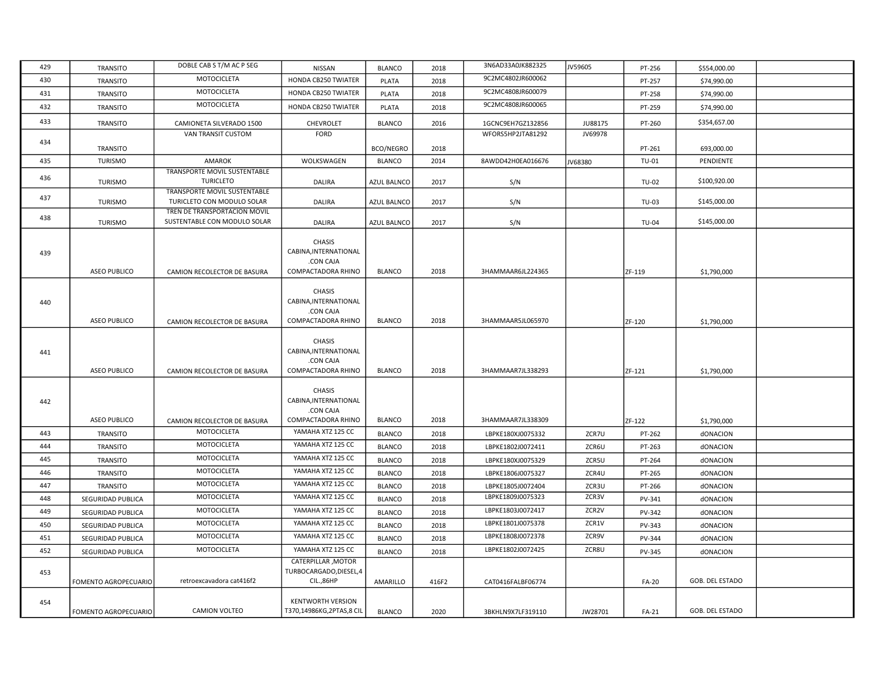| 429 | TRANSITO             | DOBLE CAB S T/M AC P SEG                                   | NISSAN                                                                    | <b>BLANCO</b>      | 2018  | 3N6AD33A0JK882325 | JV59605 | PT-256        | \$554,000.00    |  |
|-----|----------------------|------------------------------------------------------------|---------------------------------------------------------------------------|--------------------|-------|-------------------|---------|---------------|-----------------|--|
| 430 | TRANSITO             | <b>MOTOCICLETA</b>                                         | HONDA CB250 TWIATER                                                       | PLATA              | 2018  | 9C2MC4802JR600062 |         | PT-257        | \$74,990.00     |  |
| 431 | TRANSITO             | MOTOCICLETA                                                | HONDA CB250 TWIATER                                                       | PLATA              | 2018  | 9C2MC4808JR600079 |         | PT-258        | \$74,990.00     |  |
| 432 | TRANSITO             | MOTOCICLETA                                                | HONDA CB250 TWIATER                                                       | <b>PLATA</b>       | 2018  | 9C2MC4808JR600065 |         | PT-259        | \$74,990.00     |  |
| 433 | <b>TRANSITO</b>      | CAMIONETA SILVERADO 1500                                   | CHEVROLET                                                                 | <b>BLANCO</b>      | 2016  | 1GCNC9EH7GZ132856 | JU88175 | PT-260        | \$354,657.00    |  |
|     |                      | VAN TRANSIT CUSTOM                                         | FORD                                                                      |                    |       | WFORS5HP2JTA81292 | JV69978 |               |                 |  |
| 434 | TRANSITO             |                                                            |                                                                           | <b>BCO/NEGRO</b>   | 2018  |                   |         | PT-261        | 693,000.00      |  |
| 435 | <b>TURISMO</b>       | AMAROK                                                     | WOLKSWAGEN                                                                | <b>BLANCO</b>      | 2014  | 8AWDD42H0EA016676 | JV68380 | TU-01         | PENDIENTE       |  |
| 436 | <b>TURISMO</b>       | TRANSPORTE MOVIL SUSTENTABLE<br><b>TURICLETO</b>           | DALIRA                                                                    | AZUL BALNCO        | 2017  | S/N               |         | TU-02         | \$100,920.00    |  |
| 437 |                      | TRANSPORTE MOVIL SUSTENTABLE                               |                                                                           |                    |       |                   |         |               |                 |  |
|     | <b>TURISMO</b>       | TURICLETO CON MODULO SOLAR<br>TREN DE TRANSPORTACION MOVIL | DALIRA                                                                    | <b>AZUL BALNCO</b> | 2017  | S/N               |         | TU-03         | \$145,000.00    |  |
| 438 | <b>TURISMO</b>       | SUSTENTABLE CON MODULO SOLAR                               | DALIRA                                                                    | AZUL BALNCO        | 2017  | S/N               |         | <b>TU-04</b>  | \$145,000.00    |  |
| 439 |                      |                                                            | <b>CHASIS</b><br>CABINA, INTERNATIONAL<br>.CON CAJA                       |                    |       |                   |         |               |                 |  |
|     | <b>ASEO PUBLICO</b>  | CAMION RECOLECTOR DE BASURA                                | COMPACTADORA RHINO                                                        | <b>BLANCO</b>      | 2018  | 3HAMMAAR6JL224365 |         | ZF-119        | \$1,790,000     |  |
| 440 | ASEO PUBLICO         | CAMION RECOLECTOR DE BASURA                                | <b>CHASIS</b><br>CABINA, INTERNATIONAL<br>.CON CAJA<br>COMPACTADORA RHINO | <b>BLANCO</b>      | 2018  | 3HAMMAAR5JL065970 |         | ZF-120        | \$1,790,000     |  |
| 441 | ASEO PUBLICO         | CAMION RECOLECTOR DE BASURA                                | CHASIS<br>CABINA, INTERNATIONAL<br>.CON CAJA<br>COMPACTADORA RHINO        | <b>BLANCO</b>      | 2018  | 3HAMMAAR7JL338293 |         | ZF-121        | \$1,790,000     |  |
| 442 | <b>ASEO PUBLICO</b>  | CAMION RECOLECTOR DE BASURA                                | <b>CHASIS</b><br>CABINA, INTERNATIONAL<br>.CON CAJA<br>COMPACTADORA RHINO | <b>BLANCO</b>      | 2018  | 3HAMMAAR7JL338309 |         | ZF-122        | \$1,790,000     |  |
| 443 | TRANSITO             | <b>MOTOCICLETA</b>                                         | YAMAHA XTZ 125 CC                                                         | <b>BLANCO</b>      | 2018  | LBPKE180XJ0075332 | ZCR7U   | PT-262        | dONACION        |  |
| 444 | TRANSITO             | MOTOCICLETA                                                | YAMAHA XTZ 125 CC                                                         | <b>BLANCO</b>      | 2018  | LBPKE1802J0072411 | ZCR6U   | PT-263        | dONACION        |  |
| 445 | TRANSITO             | MOTOCICLETA                                                | YAMAHA XTZ 125 CC                                                         | <b>BLANCO</b>      | 2018  | LBPKE180XJ0075329 | ZCR5U   | PT-264        | dONACION        |  |
| 446 | <b>TRANSITO</b>      | MOTOCICLETA                                                | YAMAHA XTZ 125 CC                                                         | <b>BLANCO</b>      | 2018  | LBPKE1806J0075327 | ZCR4U   | PT-265        | dONACION        |  |
| 447 | TRANSITO             | MOTOCICLETA                                                | YAMAHA XTZ 125 CC                                                         | <b>BLANCO</b>      | 2018  | LBPKE1805J0072404 | ZCR3U   | PT-266        | dONACION        |  |
| 448 | SEGURIDAD PUBLICA    | MOTOCICLETA                                                | YAMAHA XTZ 125 CC                                                         | <b>BLANCO</b>      | 2018  | LBPKE1809J0075323 | ZCR3V   | PV-341        | dONACION        |  |
| 449 | SEGURIDAD PUBLICA    | MOTOCICLETA                                                | YAMAHA XTZ 125 CC                                                         | <b>BLANCO</b>      | 2018  | LBPKE1803J0072417 | ZCR2V   | PV-342        | dONACION        |  |
| 450 | SEGURIDAD PUBLICA    | MOTOCICLETA                                                | YAMAHA XTZ 125 CC                                                         | <b>BLANCO</b>      | 2018  | LBPKE1801J0075378 | ZCR1V   | PV-343        | dONACION        |  |
| 451 | SEGURIDAD PUBLICA    | MOTOCICLETA                                                | YAMAHA XTZ 125 CC                                                         | <b>BLANCO</b>      | 2018  | LBPKE1808J0072378 | ZCR9V   | <b>PV-344</b> | dONACION        |  |
| 452 | SEGURIDAD PUBLICA    | MOTOCICLETA                                                | YAMAHA XTZ 125 CC                                                         | <b>BLANCO</b>      | 2018  | LBPKE1802J0072425 | ZCR8U   | PV-345        | dONACION        |  |
| 453 | FOMENTO AGROPECUARIO | retroexcavadora cat416f2                                   | CATERPILLAR, MOTOR<br>TURBOCARGADO, DIESEL, 4<br>CIL.,86HP                | AMARILLO           | 416F2 | CAT0416FALBF06774 |         | <b>FA-20</b>  | GOB. DEL ESTADO |  |
| 454 | FOMENTO AGROPECUARIO | <b>CAMION VOLTEO</b>                                       | <b>KENTWORTH VERSION</b><br>T370,14986KG,2PTAS,8 CIL                      | <b>BLANCO</b>      | 2020  | 3BKHLN9X7LF319110 | JW28701 | FA-21         | GOB. DEL ESTADO |  |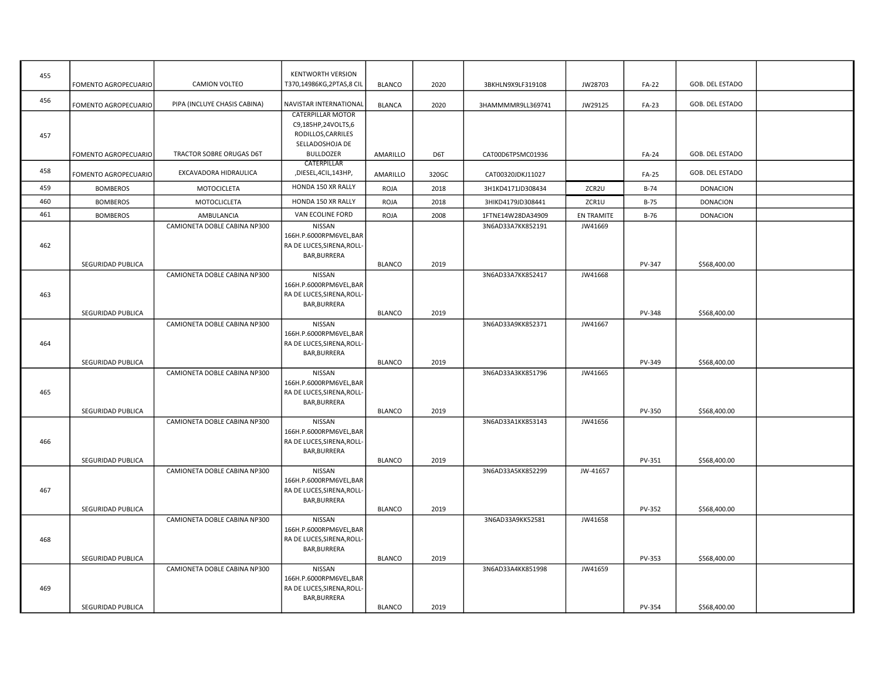| 455 |                      | CAMION VOLTEO                   | <b>KENTWORTH VERSION</b><br>T370,14986KG,2PTAS,8 CIL                                                        |               |       |                   |            |              | GOB. DEL ESTADO        |  |
|-----|----------------------|---------------------------------|-------------------------------------------------------------------------------------------------------------|---------------|-------|-------------------|------------|--------------|------------------------|--|
| 456 | FOMENTO AGROPECUARIO |                                 |                                                                                                             | <b>BLANCO</b> | 2020  | 3BKHLN9X9LF319108 | JW28703    | FA-22        |                        |  |
|     | FOMENTO AGROPECUARIO | PIPA (INCLUYE CHASIS CABINA)    | NAVISTAR INTERNATIONAL                                                                                      | <b>BLANCA</b> | 2020  | 3HAMMMMR9LL369741 | JW29125    | <b>FA-23</b> | GOB. DEL ESTADO        |  |
| 457 |                      | <b>TRACTOR SOBRE ORUGAS D6T</b> | <b>CATERPILLAR MOTOR</b><br>C9,185HP,24VOLTS,6<br>RODILLOS, CARRILES<br>SELLADOSHOJA DE<br><b>BULLDOZER</b> |               |       |                   |            |              | <b>GOB. DEL ESTADO</b> |  |
|     | FOMENTO AGROPECUARIO |                                 | CATERPILLAR                                                                                                 | AMARILLO      | D6T   | CAT00D6TPSMC01936 |            | <b>FA-24</b> |                        |  |
| 458 | FOMENTO AGROPECUARIO | EXCAVADORA HIDRAULICA           | ,DIESEL,4CIL,143HP,                                                                                         | AMARILLO      | 320GC | CAT00320JDKJ11027 |            | <b>FA-25</b> | GOB. DEL ESTADO        |  |
| 459 | <b>BOMBEROS</b>      | MOTOCICLETA                     | HONDA 150 XR RALLY                                                                                          | <b>ROJA</b>   | 2018  | 3H1KD4171JD308434 | ZCR2U      | B-74         | <b>DONACION</b>        |  |
| 460 | <b>BOMBEROS</b>      | MOTOCLICLETA                    | HONDA 150 XR RALLY                                                                                          | <b>ROJA</b>   | 2018  | 3HIKD4179JD308441 | ZCR1U      | $B-75$       | <b>DONACION</b>        |  |
| 461 | <b>BOMBEROS</b>      | AMBULANCIA                      | VAN ECOLINE FORD                                                                                            | ROJA          | 2008  | 1FTNE14W28DA34909 | EN TRAMITE | $B-76$       | <b>DONACION</b>        |  |
| 462 | SEGURIDAD PUBLICA    | CAMIONETA DOBLE CABINA NP300    | NISSAN<br>166H.P.6000RPM6VEL,BAR<br>RA DE LUCES, SIRENA, ROLL-<br>BAR, BURRERA                              | <b>BLANCO</b> | 2019  | 3N6AD33A7KK852191 | JW41669    | PV-347       | \$568,400.00           |  |
|     |                      | CAMIONETA DOBLE CABINA NP300    | <b>NISSAN</b>                                                                                               |               |       | 3N6AD33A7KK852417 | JW41668    |              |                        |  |
| 463 | SEGURIDAD PUBLICA    |                                 | 166H.P.6000RPM6VEL,BAR<br>RA DE LUCES, SIRENA, ROLL-<br>BAR, BURRERA                                        | <b>BLANCO</b> | 2019  |                   |            | PV-348       | \$568,400.00           |  |
|     |                      | CAMIONETA DOBLE CABINA NP300    | NISSAN                                                                                                      |               |       | 3N6AD33A9KK852371 | JW41667    |              |                        |  |
| 464 | SEGURIDAD PUBLICA    |                                 | 166H.P.6000RPM6VEL,BAR<br>RA DE LUCES, SIRENA, ROLL-<br>BAR, BURRERA                                        | <b>BLANCO</b> | 2019  |                   |            | PV-349       | \$568,400.00           |  |
|     |                      | CAMIONETA DOBLE CABINA NP300    | NISSAN                                                                                                      |               |       | 3N6AD33A3KK851796 | JW41665    |              |                        |  |
| 465 | SEGURIDAD PUBLICA    |                                 | 166H.P.6000RPM6VEL,BAR<br>RA DE LUCES, SIRENA, ROLL-<br>BAR, BURRERA                                        | <b>BLANCO</b> | 2019  |                   |            | PV-350       | \$568,400.00           |  |
|     |                      | CAMIONETA DOBLE CABINA NP300    | NISSAN                                                                                                      |               |       | 3N6AD33A1KK853143 | JW41656    |              |                        |  |
| 466 |                      |                                 | 166H.P.6000RPM6VEL,BAR<br>RA DE LUCES, SIRENA, ROLL-<br>BAR, BURRERA                                        |               |       |                   |            |              |                        |  |
|     | SEGURIDAD PUBLICA    |                                 |                                                                                                             | <b>BLANCO</b> | 2019  |                   |            | PV-351       | \$568,400.00           |  |
| 467 | SEGURIDAD PUBLICA    | CAMIONETA DOBLE CABINA NP300    | NISSAN<br>166H.P.6000RPM6VEL,BAR<br>RA DE LUCES, SIRENA, ROLL-<br>BAR, BURRERA                              | <b>BLANCO</b> | 2019  | 3N6AD33A5KK852299 | JW-41657   | PV-352       | \$568,400.00           |  |
|     |                      | CAMIONETA DOBLE CABINA NP300    | NISSAN                                                                                                      |               |       | 3N6AD33A9KK52581  | JW41658    |              |                        |  |
| 468 | SEGURIDAD PUBLICA    |                                 | 166H.P.6000RPM6VEL,BAR<br>RA DE LUCES, SIRENA, ROLL-<br>BAR, BURRERA                                        | <b>BLANCO</b> | 2019  |                   |            | PV-353       | \$568,400.00           |  |
|     |                      | CAMIONETA DOBLE CABINA NP300    | NISSAN                                                                                                      |               |       | 3N6AD33A4KK851998 | JW41659    |              |                        |  |
| 469 |                      |                                 | 166H.P.6000RPM6VEL,BAR<br>RA DE LUCES, SIRENA, ROLL-<br>BAR, BURRERA                                        | <b>BLANCO</b> | 2019  |                   |            |              |                        |  |
|     | SEGURIDAD PUBLICA    |                                 |                                                                                                             |               |       |                   |            | PV-354       | \$568,400.00           |  |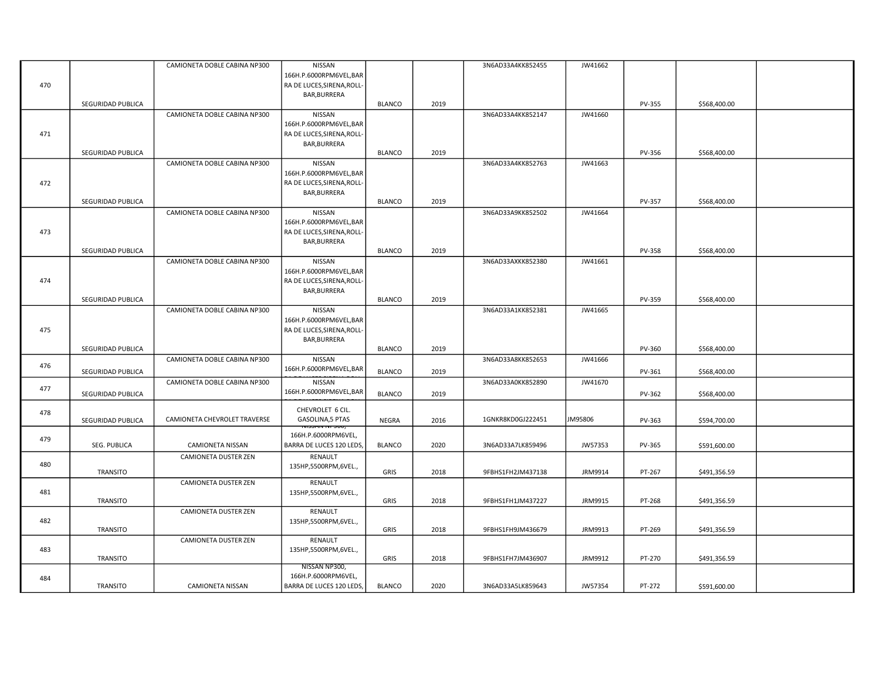| 166H.P.6000RPM6VEL,BAR<br>470<br>RA DE LUCES, SIRENA, ROLL-<br>BAR, BURRERA<br>SEGURIDAD PUBLICA<br><b>BLANCO</b><br>2019<br>PV-355<br>\$568,400.00<br>CAMIONETA DOBLE CABINA NP300<br>NISSAN<br>3N6AD33A4KK852147<br>JW41660<br>166H.P.6000RPM6VEL,BAR<br>RA DE LUCES, SIRENA, ROLL-<br>471<br>BAR, BURRERA<br>SEGURIDAD PUBLICA<br><b>BLANCO</b><br>2019<br>PV-356<br>\$568,400.00<br>CAMIONETA DOBLE CABINA NP300<br>NISSAN<br>3N6AD33A4KK852763<br>JW41663<br>166H.P.6000RPM6VEL,BAR<br>472<br>RA DE LUCES, SIRENA, ROLL-<br>BAR, BURRERA<br>SEGURIDAD PUBLICA<br><b>BLANCO</b><br>2019<br>PV-357<br>\$568,400.00<br>CAMIONETA DOBLE CABINA NP300<br>NISSAN<br>3N6AD33A9KK852502<br>JW41664<br>166H.P.6000RPM6VEL,BAR<br>RA DE LUCES, SIRENA, ROLL-<br>473<br>BAR, BURRERA<br>SEGURIDAD PUBLICA<br><b>BLANCO</b><br>2019<br>PV-358<br>\$568,400.00<br>CAMIONETA DOBLE CABINA NP300<br>NISSAN<br>3N6AD33AXKK852380<br>JW41661<br>166H.P.6000RPM6VEL,BAR<br>474<br>RA DE LUCES, SIRENA, ROLL-<br>BAR, BURRERA<br><b>BLANCO</b><br>2019<br>PV-359<br>SEGURIDAD PUBLICA<br>\$568,400.00<br>CAMIONETA DOBLE CABINA NP300<br>NISSAN<br>3N6AD33A1KK852381<br>JW41665<br>166H.P.6000RPM6VEL,BAR<br>475<br>RA DE LUCES, SIRENA, ROLL-<br>BAR, BURRERA<br>SEGURIDAD PUBLICA<br><b>BLANCO</b><br>2019<br>PV-360<br>\$568,400.00<br>CAMIONETA DOBLE CABINA NP300<br>NISSAN<br>3N6AD33A8KK852653<br>JW41666<br>476<br>166H.P.6000RPM6VEL,BAR<br><b>BLANCO</b><br>SEGURIDAD PUBLICA<br>2019<br>PV-361<br>\$568,400.00<br>CAMIONETA DOBLE CABINA NP300<br>NISSAN<br>3N6AD33A0KK852890<br>JW41670<br>477<br>166H.P.6000RPM6VEL,BAR<br><b>BLANCO</b><br>2019<br>PV-362<br>SEGURIDAD PUBLICA<br>\$568,400.00<br>CHEVROLET 6 CIL.<br>478<br>CAMIONETA CHEVROLET TRAVERSE<br>1GNKR8KD0GJ222451<br>JM95806<br>GASOLINA,5 PTAS<br>SEGURIDAD PUBLICA<br>NEGRA<br>2016<br>PV-363<br>\$594,700.00<br>166H.P.6000RPM6VEL,<br>479<br>BARRA DE LUCES 120 LEDS,<br><b>BLANCO</b><br>2020<br>JW57353<br>SEG. PUBLICA<br>CAMIONETA NISSAN<br>3N6AD33A7LK859496<br>PV-365<br>\$591,600.00<br>CAMIONETA DUSTER ZEN<br>RENAULT<br>480<br>135HP,5500RPM,6VEL.,<br><b>TRANSITO</b><br>GRIS<br>2018<br>9FBHS1FH2JM437138<br>JRM9914<br>PT-267<br>\$491,356.59<br><b>CAMIONETA DUSTER ZEN</b><br>RENAULT<br>481<br>135HP,5500RPM,6VEL.,<br>GRIS<br>2018<br>9FBHS1FH1JM437227<br>JRM9915<br>TRANSITO<br>PT-268<br>\$491,356.59<br><b>CAMIONETA DUSTER ZEN</b><br>RENAULT<br>482<br>135HP,5500RPM,6VEL.,<br>GRIS<br>2018<br>9FBHS1FH9JM436679<br>JRM9913<br>PT-269<br>TRANSITO<br>\$491,356.59<br>CAMIONETA DUSTER ZEN<br>RENAULT<br>483<br>135HP,5500RPM,6VEL.,<br>GRIS<br>2018<br>9FBHS1FH7JM436907<br>JRM9912<br>PT-270<br>\$491,356.59<br><b>TRANSITO</b><br>NISSAN NP300,<br>166H.P.6000RPM6VEL,<br>484<br>BARRA DE LUCES 120 LEDS,<br><b>BLANCO</b><br>2020<br>3N6AD33A5LK859643<br>JW57354<br>PT-272<br>TRANSITO<br>CAMIONETA NISSAN<br>\$591,600.00 |  | CAMIONETA DOBLE CABINA NP300 | NISSAN |  | 3N6AD33A4KK852455 | JW41662 |  |  |
|-------------------------------------------------------------------------------------------------------------------------------------------------------------------------------------------------------------------------------------------------------------------------------------------------------------------------------------------------------------------------------------------------------------------------------------------------------------------------------------------------------------------------------------------------------------------------------------------------------------------------------------------------------------------------------------------------------------------------------------------------------------------------------------------------------------------------------------------------------------------------------------------------------------------------------------------------------------------------------------------------------------------------------------------------------------------------------------------------------------------------------------------------------------------------------------------------------------------------------------------------------------------------------------------------------------------------------------------------------------------------------------------------------------------------------------------------------------------------------------------------------------------------------------------------------------------------------------------------------------------------------------------------------------------------------------------------------------------------------------------------------------------------------------------------------------------------------------------------------------------------------------------------------------------------------------------------------------------------------------------------------------------------------------------------------------------------------------------------------------------------------------------------------------------------------------------------------------------------------------------------------------------------------------------------------------------------------------------------------------------------------------------------------------------------------------------------------------------------------------------------------------------------------------------------------------------------------------------------------------------------------------------------------------------------------------------------------------------------------------------------------------------------------------------------------------------------------------------------------------------------------------------------------------------------|--|------------------------------|--------|--|-------------------|---------|--|--|
|                                                                                                                                                                                                                                                                                                                                                                                                                                                                                                                                                                                                                                                                                                                                                                                                                                                                                                                                                                                                                                                                                                                                                                                                                                                                                                                                                                                                                                                                                                                                                                                                                                                                                                                                                                                                                                                                                                                                                                                                                                                                                                                                                                                                                                                                                                                                                                                                                                                                                                                                                                                                                                                                                                                                                                                                                                                                                                                         |  |                              |        |  |                   |         |  |  |
|                                                                                                                                                                                                                                                                                                                                                                                                                                                                                                                                                                                                                                                                                                                                                                                                                                                                                                                                                                                                                                                                                                                                                                                                                                                                                                                                                                                                                                                                                                                                                                                                                                                                                                                                                                                                                                                                                                                                                                                                                                                                                                                                                                                                                                                                                                                                                                                                                                                                                                                                                                                                                                                                                                                                                                                                                                                                                                                         |  |                              |        |  |                   |         |  |  |
|                                                                                                                                                                                                                                                                                                                                                                                                                                                                                                                                                                                                                                                                                                                                                                                                                                                                                                                                                                                                                                                                                                                                                                                                                                                                                                                                                                                                                                                                                                                                                                                                                                                                                                                                                                                                                                                                                                                                                                                                                                                                                                                                                                                                                                                                                                                                                                                                                                                                                                                                                                                                                                                                                                                                                                                                                                                                                                                         |  |                              |        |  |                   |         |  |  |
|                                                                                                                                                                                                                                                                                                                                                                                                                                                                                                                                                                                                                                                                                                                                                                                                                                                                                                                                                                                                                                                                                                                                                                                                                                                                                                                                                                                                                                                                                                                                                                                                                                                                                                                                                                                                                                                                                                                                                                                                                                                                                                                                                                                                                                                                                                                                                                                                                                                                                                                                                                                                                                                                                                                                                                                                                                                                                                                         |  |                              |        |  |                   |         |  |  |
|                                                                                                                                                                                                                                                                                                                                                                                                                                                                                                                                                                                                                                                                                                                                                                                                                                                                                                                                                                                                                                                                                                                                                                                                                                                                                                                                                                                                                                                                                                                                                                                                                                                                                                                                                                                                                                                                                                                                                                                                                                                                                                                                                                                                                                                                                                                                                                                                                                                                                                                                                                                                                                                                                                                                                                                                                                                                                                                         |  |                              |        |  |                   |         |  |  |
|                                                                                                                                                                                                                                                                                                                                                                                                                                                                                                                                                                                                                                                                                                                                                                                                                                                                                                                                                                                                                                                                                                                                                                                                                                                                                                                                                                                                                                                                                                                                                                                                                                                                                                                                                                                                                                                                                                                                                                                                                                                                                                                                                                                                                                                                                                                                                                                                                                                                                                                                                                                                                                                                                                                                                                                                                                                                                                                         |  |                              |        |  |                   |         |  |  |
|                                                                                                                                                                                                                                                                                                                                                                                                                                                                                                                                                                                                                                                                                                                                                                                                                                                                                                                                                                                                                                                                                                                                                                                                                                                                                                                                                                                                                                                                                                                                                                                                                                                                                                                                                                                                                                                                                                                                                                                                                                                                                                                                                                                                                                                                                                                                                                                                                                                                                                                                                                                                                                                                                                                                                                                                                                                                                                                         |  |                              |        |  |                   |         |  |  |
|                                                                                                                                                                                                                                                                                                                                                                                                                                                                                                                                                                                                                                                                                                                                                                                                                                                                                                                                                                                                                                                                                                                                                                                                                                                                                                                                                                                                                                                                                                                                                                                                                                                                                                                                                                                                                                                                                                                                                                                                                                                                                                                                                                                                                                                                                                                                                                                                                                                                                                                                                                                                                                                                                                                                                                                                                                                                                                                         |  |                              |        |  |                   |         |  |  |
|                                                                                                                                                                                                                                                                                                                                                                                                                                                                                                                                                                                                                                                                                                                                                                                                                                                                                                                                                                                                                                                                                                                                                                                                                                                                                                                                                                                                                                                                                                                                                                                                                                                                                                                                                                                                                                                                                                                                                                                                                                                                                                                                                                                                                                                                                                                                                                                                                                                                                                                                                                                                                                                                                                                                                                                                                                                                                                                         |  |                              |        |  |                   |         |  |  |
|                                                                                                                                                                                                                                                                                                                                                                                                                                                                                                                                                                                                                                                                                                                                                                                                                                                                                                                                                                                                                                                                                                                                                                                                                                                                                                                                                                                                                                                                                                                                                                                                                                                                                                                                                                                                                                                                                                                                                                                                                                                                                                                                                                                                                                                                                                                                                                                                                                                                                                                                                                                                                                                                                                                                                                                                                                                                                                                         |  |                              |        |  |                   |         |  |  |
|                                                                                                                                                                                                                                                                                                                                                                                                                                                                                                                                                                                                                                                                                                                                                                                                                                                                                                                                                                                                                                                                                                                                                                                                                                                                                                                                                                                                                                                                                                                                                                                                                                                                                                                                                                                                                                                                                                                                                                                                                                                                                                                                                                                                                                                                                                                                                                                                                                                                                                                                                                                                                                                                                                                                                                                                                                                                                                                         |  |                              |        |  |                   |         |  |  |
|                                                                                                                                                                                                                                                                                                                                                                                                                                                                                                                                                                                                                                                                                                                                                                                                                                                                                                                                                                                                                                                                                                                                                                                                                                                                                                                                                                                                                                                                                                                                                                                                                                                                                                                                                                                                                                                                                                                                                                                                                                                                                                                                                                                                                                                                                                                                                                                                                                                                                                                                                                                                                                                                                                                                                                                                                                                                                                                         |  |                              |        |  |                   |         |  |  |
|                                                                                                                                                                                                                                                                                                                                                                                                                                                                                                                                                                                                                                                                                                                                                                                                                                                                                                                                                                                                                                                                                                                                                                                                                                                                                                                                                                                                                                                                                                                                                                                                                                                                                                                                                                                                                                                                                                                                                                                                                                                                                                                                                                                                                                                                                                                                                                                                                                                                                                                                                                                                                                                                                                                                                                                                                                                                                                                         |  |                              |        |  |                   |         |  |  |
|                                                                                                                                                                                                                                                                                                                                                                                                                                                                                                                                                                                                                                                                                                                                                                                                                                                                                                                                                                                                                                                                                                                                                                                                                                                                                                                                                                                                                                                                                                                                                                                                                                                                                                                                                                                                                                                                                                                                                                                                                                                                                                                                                                                                                                                                                                                                                                                                                                                                                                                                                                                                                                                                                                                                                                                                                                                                                                                         |  |                              |        |  |                   |         |  |  |
|                                                                                                                                                                                                                                                                                                                                                                                                                                                                                                                                                                                                                                                                                                                                                                                                                                                                                                                                                                                                                                                                                                                                                                                                                                                                                                                                                                                                                                                                                                                                                                                                                                                                                                                                                                                                                                                                                                                                                                                                                                                                                                                                                                                                                                                                                                                                                                                                                                                                                                                                                                                                                                                                                                                                                                                                                                                                                                                         |  |                              |        |  |                   |         |  |  |
|                                                                                                                                                                                                                                                                                                                                                                                                                                                                                                                                                                                                                                                                                                                                                                                                                                                                                                                                                                                                                                                                                                                                                                                                                                                                                                                                                                                                                                                                                                                                                                                                                                                                                                                                                                                                                                                                                                                                                                                                                                                                                                                                                                                                                                                                                                                                                                                                                                                                                                                                                                                                                                                                                                                                                                                                                                                                                                                         |  |                              |        |  |                   |         |  |  |
|                                                                                                                                                                                                                                                                                                                                                                                                                                                                                                                                                                                                                                                                                                                                                                                                                                                                                                                                                                                                                                                                                                                                                                                                                                                                                                                                                                                                                                                                                                                                                                                                                                                                                                                                                                                                                                                                                                                                                                                                                                                                                                                                                                                                                                                                                                                                                                                                                                                                                                                                                                                                                                                                                                                                                                                                                                                                                                                         |  |                              |        |  |                   |         |  |  |
|                                                                                                                                                                                                                                                                                                                                                                                                                                                                                                                                                                                                                                                                                                                                                                                                                                                                                                                                                                                                                                                                                                                                                                                                                                                                                                                                                                                                                                                                                                                                                                                                                                                                                                                                                                                                                                                                                                                                                                                                                                                                                                                                                                                                                                                                                                                                                                                                                                                                                                                                                                                                                                                                                                                                                                                                                                                                                                                         |  |                              |        |  |                   |         |  |  |
|                                                                                                                                                                                                                                                                                                                                                                                                                                                                                                                                                                                                                                                                                                                                                                                                                                                                                                                                                                                                                                                                                                                                                                                                                                                                                                                                                                                                                                                                                                                                                                                                                                                                                                                                                                                                                                                                                                                                                                                                                                                                                                                                                                                                                                                                                                                                                                                                                                                                                                                                                                                                                                                                                                                                                                                                                                                                                                                         |  |                              |        |  |                   |         |  |  |
|                                                                                                                                                                                                                                                                                                                                                                                                                                                                                                                                                                                                                                                                                                                                                                                                                                                                                                                                                                                                                                                                                                                                                                                                                                                                                                                                                                                                                                                                                                                                                                                                                                                                                                                                                                                                                                                                                                                                                                                                                                                                                                                                                                                                                                                                                                                                                                                                                                                                                                                                                                                                                                                                                                                                                                                                                                                                                                                         |  |                              |        |  |                   |         |  |  |
|                                                                                                                                                                                                                                                                                                                                                                                                                                                                                                                                                                                                                                                                                                                                                                                                                                                                                                                                                                                                                                                                                                                                                                                                                                                                                                                                                                                                                                                                                                                                                                                                                                                                                                                                                                                                                                                                                                                                                                                                                                                                                                                                                                                                                                                                                                                                                                                                                                                                                                                                                                                                                                                                                                                                                                                                                                                                                                                         |  |                              |        |  |                   |         |  |  |
|                                                                                                                                                                                                                                                                                                                                                                                                                                                                                                                                                                                                                                                                                                                                                                                                                                                                                                                                                                                                                                                                                                                                                                                                                                                                                                                                                                                                                                                                                                                                                                                                                                                                                                                                                                                                                                                                                                                                                                                                                                                                                                                                                                                                                                                                                                                                                                                                                                                                                                                                                                                                                                                                                                                                                                                                                                                                                                                         |  |                              |        |  |                   |         |  |  |
|                                                                                                                                                                                                                                                                                                                                                                                                                                                                                                                                                                                                                                                                                                                                                                                                                                                                                                                                                                                                                                                                                                                                                                                                                                                                                                                                                                                                                                                                                                                                                                                                                                                                                                                                                                                                                                                                                                                                                                                                                                                                                                                                                                                                                                                                                                                                                                                                                                                                                                                                                                                                                                                                                                                                                                                                                                                                                                                         |  |                              |        |  |                   |         |  |  |
|                                                                                                                                                                                                                                                                                                                                                                                                                                                                                                                                                                                                                                                                                                                                                                                                                                                                                                                                                                                                                                                                                                                                                                                                                                                                                                                                                                                                                                                                                                                                                                                                                                                                                                                                                                                                                                                                                                                                                                                                                                                                                                                                                                                                                                                                                                                                                                                                                                                                                                                                                                                                                                                                                                                                                                                                                                                                                                                         |  |                              |        |  |                   |         |  |  |
|                                                                                                                                                                                                                                                                                                                                                                                                                                                                                                                                                                                                                                                                                                                                                                                                                                                                                                                                                                                                                                                                                                                                                                                                                                                                                                                                                                                                                                                                                                                                                                                                                                                                                                                                                                                                                                                                                                                                                                                                                                                                                                                                                                                                                                                                                                                                                                                                                                                                                                                                                                                                                                                                                                                                                                                                                                                                                                                         |  |                              |        |  |                   |         |  |  |
|                                                                                                                                                                                                                                                                                                                                                                                                                                                                                                                                                                                                                                                                                                                                                                                                                                                                                                                                                                                                                                                                                                                                                                                                                                                                                                                                                                                                                                                                                                                                                                                                                                                                                                                                                                                                                                                                                                                                                                                                                                                                                                                                                                                                                                                                                                                                                                                                                                                                                                                                                                                                                                                                                                                                                                                                                                                                                                                         |  |                              |        |  |                   |         |  |  |
|                                                                                                                                                                                                                                                                                                                                                                                                                                                                                                                                                                                                                                                                                                                                                                                                                                                                                                                                                                                                                                                                                                                                                                                                                                                                                                                                                                                                                                                                                                                                                                                                                                                                                                                                                                                                                                                                                                                                                                                                                                                                                                                                                                                                                                                                                                                                                                                                                                                                                                                                                                                                                                                                                                                                                                                                                                                                                                                         |  |                              |        |  |                   |         |  |  |
|                                                                                                                                                                                                                                                                                                                                                                                                                                                                                                                                                                                                                                                                                                                                                                                                                                                                                                                                                                                                                                                                                                                                                                                                                                                                                                                                                                                                                                                                                                                                                                                                                                                                                                                                                                                                                                                                                                                                                                                                                                                                                                                                                                                                                                                                                                                                                                                                                                                                                                                                                                                                                                                                                                                                                                                                                                                                                                                         |  |                              |        |  |                   |         |  |  |
|                                                                                                                                                                                                                                                                                                                                                                                                                                                                                                                                                                                                                                                                                                                                                                                                                                                                                                                                                                                                                                                                                                                                                                                                                                                                                                                                                                                                                                                                                                                                                                                                                                                                                                                                                                                                                                                                                                                                                                                                                                                                                                                                                                                                                                                                                                                                                                                                                                                                                                                                                                                                                                                                                                                                                                                                                                                                                                                         |  |                              |        |  |                   |         |  |  |
|                                                                                                                                                                                                                                                                                                                                                                                                                                                                                                                                                                                                                                                                                                                                                                                                                                                                                                                                                                                                                                                                                                                                                                                                                                                                                                                                                                                                                                                                                                                                                                                                                                                                                                                                                                                                                                                                                                                                                                                                                                                                                                                                                                                                                                                                                                                                                                                                                                                                                                                                                                                                                                                                                                                                                                                                                                                                                                                         |  |                              |        |  |                   |         |  |  |
|                                                                                                                                                                                                                                                                                                                                                                                                                                                                                                                                                                                                                                                                                                                                                                                                                                                                                                                                                                                                                                                                                                                                                                                                                                                                                                                                                                                                                                                                                                                                                                                                                                                                                                                                                                                                                                                                                                                                                                                                                                                                                                                                                                                                                                                                                                                                                                                                                                                                                                                                                                                                                                                                                                                                                                                                                                                                                                                         |  |                              |        |  |                   |         |  |  |
|                                                                                                                                                                                                                                                                                                                                                                                                                                                                                                                                                                                                                                                                                                                                                                                                                                                                                                                                                                                                                                                                                                                                                                                                                                                                                                                                                                                                                                                                                                                                                                                                                                                                                                                                                                                                                                                                                                                                                                                                                                                                                                                                                                                                                                                                                                                                                                                                                                                                                                                                                                                                                                                                                                                                                                                                                                                                                                                         |  |                              |        |  |                   |         |  |  |
|                                                                                                                                                                                                                                                                                                                                                                                                                                                                                                                                                                                                                                                                                                                                                                                                                                                                                                                                                                                                                                                                                                                                                                                                                                                                                                                                                                                                                                                                                                                                                                                                                                                                                                                                                                                                                                                                                                                                                                                                                                                                                                                                                                                                                                                                                                                                                                                                                                                                                                                                                                                                                                                                                                                                                                                                                                                                                                                         |  |                              |        |  |                   |         |  |  |
|                                                                                                                                                                                                                                                                                                                                                                                                                                                                                                                                                                                                                                                                                                                                                                                                                                                                                                                                                                                                                                                                                                                                                                                                                                                                                                                                                                                                                                                                                                                                                                                                                                                                                                                                                                                                                                                                                                                                                                                                                                                                                                                                                                                                                                                                                                                                                                                                                                                                                                                                                                                                                                                                                                                                                                                                                                                                                                                         |  |                              |        |  |                   |         |  |  |
|                                                                                                                                                                                                                                                                                                                                                                                                                                                                                                                                                                                                                                                                                                                                                                                                                                                                                                                                                                                                                                                                                                                                                                                                                                                                                                                                                                                                                                                                                                                                                                                                                                                                                                                                                                                                                                                                                                                                                                                                                                                                                                                                                                                                                                                                                                                                                                                                                                                                                                                                                                                                                                                                                                                                                                                                                                                                                                                         |  |                              |        |  |                   |         |  |  |
|                                                                                                                                                                                                                                                                                                                                                                                                                                                                                                                                                                                                                                                                                                                                                                                                                                                                                                                                                                                                                                                                                                                                                                                                                                                                                                                                                                                                                                                                                                                                                                                                                                                                                                                                                                                                                                                                                                                                                                                                                                                                                                                                                                                                                                                                                                                                                                                                                                                                                                                                                                                                                                                                                                                                                                                                                                                                                                                         |  |                              |        |  |                   |         |  |  |
|                                                                                                                                                                                                                                                                                                                                                                                                                                                                                                                                                                                                                                                                                                                                                                                                                                                                                                                                                                                                                                                                                                                                                                                                                                                                                                                                                                                                                                                                                                                                                                                                                                                                                                                                                                                                                                                                                                                                                                                                                                                                                                                                                                                                                                                                                                                                                                                                                                                                                                                                                                                                                                                                                                                                                                                                                                                                                                                         |  |                              |        |  |                   |         |  |  |
|                                                                                                                                                                                                                                                                                                                                                                                                                                                                                                                                                                                                                                                                                                                                                                                                                                                                                                                                                                                                                                                                                                                                                                                                                                                                                                                                                                                                                                                                                                                                                                                                                                                                                                                                                                                                                                                                                                                                                                                                                                                                                                                                                                                                                                                                                                                                                                                                                                                                                                                                                                                                                                                                                                                                                                                                                                                                                                                         |  |                              |        |  |                   |         |  |  |
|                                                                                                                                                                                                                                                                                                                                                                                                                                                                                                                                                                                                                                                                                                                                                                                                                                                                                                                                                                                                                                                                                                                                                                                                                                                                                                                                                                                                                                                                                                                                                                                                                                                                                                                                                                                                                                                                                                                                                                                                                                                                                                                                                                                                                                                                                                                                                                                                                                                                                                                                                                                                                                                                                                                                                                                                                                                                                                                         |  |                              |        |  |                   |         |  |  |
|                                                                                                                                                                                                                                                                                                                                                                                                                                                                                                                                                                                                                                                                                                                                                                                                                                                                                                                                                                                                                                                                                                                                                                                                                                                                                                                                                                                                                                                                                                                                                                                                                                                                                                                                                                                                                                                                                                                                                                                                                                                                                                                                                                                                                                                                                                                                                                                                                                                                                                                                                                                                                                                                                                                                                                                                                                                                                                                         |  |                              |        |  |                   |         |  |  |
|                                                                                                                                                                                                                                                                                                                                                                                                                                                                                                                                                                                                                                                                                                                                                                                                                                                                                                                                                                                                                                                                                                                                                                                                                                                                                                                                                                                                                                                                                                                                                                                                                                                                                                                                                                                                                                                                                                                                                                                                                                                                                                                                                                                                                                                                                                                                                                                                                                                                                                                                                                                                                                                                                                                                                                                                                                                                                                                         |  |                              |        |  |                   |         |  |  |
|                                                                                                                                                                                                                                                                                                                                                                                                                                                                                                                                                                                                                                                                                                                                                                                                                                                                                                                                                                                                                                                                                                                                                                                                                                                                                                                                                                                                                                                                                                                                                                                                                                                                                                                                                                                                                                                                                                                                                                                                                                                                                                                                                                                                                                                                                                                                                                                                                                                                                                                                                                                                                                                                                                                                                                                                                                                                                                                         |  |                              |        |  |                   |         |  |  |
|                                                                                                                                                                                                                                                                                                                                                                                                                                                                                                                                                                                                                                                                                                                                                                                                                                                                                                                                                                                                                                                                                                                                                                                                                                                                                                                                                                                                                                                                                                                                                                                                                                                                                                                                                                                                                                                                                                                                                                                                                                                                                                                                                                                                                                                                                                                                                                                                                                                                                                                                                                                                                                                                                                                                                                                                                                                                                                                         |  |                              |        |  |                   |         |  |  |
|                                                                                                                                                                                                                                                                                                                                                                                                                                                                                                                                                                                                                                                                                                                                                                                                                                                                                                                                                                                                                                                                                                                                                                                                                                                                                                                                                                                                                                                                                                                                                                                                                                                                                                                                                                                                                                                                                                                                                                                                                                                                                                                                                                                                                                                                                                                                                                                                                                                                                                                                                                                                                                                                                                                                                                                                                                                                                                                         |  |                              |        |  |                   |         |  |  |
|                                                                                                                                                                                                                                                                                                                                                                                                                                                                                                                                                                                                                                                                                                                                                                                                                                                                                                                                                                                                                                                                                                                                                                                                                                                                                                                                                                                                                                                                                                                                                                                                                                                                                                                                                                                                                                                                                                                                                                                                                                                                                                                                                                                                                                                                                                                                                                                                                                                                                                                                                                                                                                                                                                                                                                                                                                                                                                                         |  |                              |        |  |                   |         |  |  |
|                                                                                                                                                                                                                                                                                                                                                                                                                                                                                                                                                                                                                                                                                                                                                                                                                                                                                                                                                                                                                                                                                                                                                                                                                                                                                                                                                                                                                                                                                                                                                                                                                                                                                                                                                                                                                                                                                                                                                                                                                                                                                                                                                                                                                                                                                                                                                                                                                                                                                                                                                                                                                                                                                                                                                                                                                                                                                                                         |  |                              |        |  |                   |         |  |  |
|                                                                                                                                                                                                                                                                                                                                                                                                                                                                                                                                                                                                                                                                                                                                                                                                                                                                                                                                                                                                                                                                                                                                                                                                                                                                                                                                                                                                                                                                                                                                                                                                                                                                                                                                                                                                                                                                                                                                                                                                                                                                                                                                                                                                                                                                                                                                                                                                                                                                                                                                                                                                                                                                                                                                                                                                                                                                                                                         |  |                              |        |  |                   |         |  |  |
|                                                                                                                                                                                                                                                                                                                                                                                                                                                                                                                                                                                                                                                                                                                                                                                                                                                                                                                                                                                                                                                                                                                                                                                                                                                                                                                                                                                                                                                                                                                                                                                                                                                                                                                                                                                                                                                                                                                                                                                                                                                                                                                                                                                                                                                                                                                                                                                                                                                                                                                                                                                                                                                                                                                                                                                                                                                                                                                         |  |                              |        |  |                   |         |  |  |
|                                                                                                                                                                                                                                                                                                                                                                                                                                                                                                                                                                                                                                                                                                                                                                                                                                                                                                                                                                                                                                                                                                                                                                                                                                                                                                                                                                                                                                                                                                                                                                                                                                                                                                                                                                                                                                                                                                                                                                                                                                                                                                                                                                                                                                                                                                                                                                                                                                                                                                                                                                                                                                                                                                                                                                                                                                                                                                                         |  |                              |        |  |                   |         |  |  |
|                                                                                                                                                                                                                                                                                                                                                                                                                                                                                                                                                                                                                                                                                                                                                                                                                                                                                                                                                                                                                                                                                                                                                                                                                                                                                                                                                                                                                                                                                                                                                                                                                                                                                                                                                                                                                                                                                                                                                                                                                                                                                                                                                                                                                                                                                                                                                                                                                                                                                                                                                                                                                                                                                                                                                                                                                                                                                                                         |  |                              |        |  |                   |         |  |  |
|                                                                                                                                                                                                                                                                                                                                                                                                                                                                                                                                                                                                                                                                                                                                                                                                                                                                                                                                                                                                                                                                                                                                                                                                                                                                                                                                                                                                                                                                                                                                                                                                                                                                                                                                                                                                                                                                                                                                                                                                                                                                                                                                                                                                                                                                                                                                                                                                                                                                                                                                                                                                                                                                                                                                                                                                                                                                                                                         |  |                              |        |  |                   |         |  |  |
|                                                                                                                                                                                                                                                                                                                                                                                                                                                                                                                                                                                                                                                                                                                                                                                                                                                                                                                                                                                                                                                                                                                                                                                                                                                                                                                                                                                                                                                                                                                                                                                                                                                                                                                                                                                                                                                                                                                                                                                                                                                                                                                                                                                                                                                                                                                                                                                                                                                                                                                                                                                                                                                                                                                                                                                                                                                                                                                         |  |                              |        |  |                   |         |  |  |
|                                                                                                                                                                                                                                                                                                                                                                                                                                                                                                                                                                                                                                                                                                                                                                                                                                                                                                                                                                                                                                                                                                                                                                                                                                                                                                                                                                                                                                                                                                                                                                                                                                                                                                                                                                                                                                                                                                                                                                                                                                                                                                                                                                                                                                                                                                                                                                                                                                                                                                                                                                                                                                                                                                                                                                                                                                                                                                                         |  |                              |        |  |                   |         |  |  |
|                                                                                                                                                                                                                                                                                                                                                                                                                                                                                                                                                                                                                                                                                                                                                                                                                                                                                                                                                                                                                                                                                                                                                                                                                                                                                                                                                                                                                                                                                                                                                                                                                                                                                                                                                                                                                                                                                                                                                                                                                                                                                                                                                                                                                                                                                                                                                                                                                                                                                                                                                                                                                                                                                                                                                                                                                                                                                                                         |  |                              |        |  |                   |         |  |  |